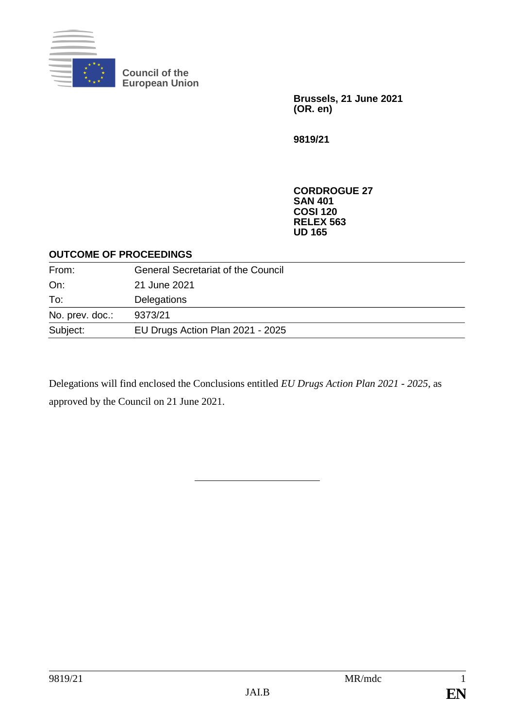

**Council of the European Union**

> **Brussels, 21 June 2021 (OR. en)**

**9819/21**

**CORDROGUE 27 SAN 401 COSI 120 RELEX 563 UD 165**

#### **OUTCOME OF PROCEEDINGS**

| From:           | <b>General Secretariat of the Council</b> |
|-----------------|-------------------------------------------|
| On:             | 21 June 2021                              |
| To:             | Delegations                               |
| No. prev. doc.: | 9373/21                                   |
| Subject:        | EU Drugs Action Plan 2021 - 2025          |

Delegations will find enclosed the Conclusions entitled *EU Drugs Action Plan 2021 - 2025*, as approved by the Council on 21 June 2021.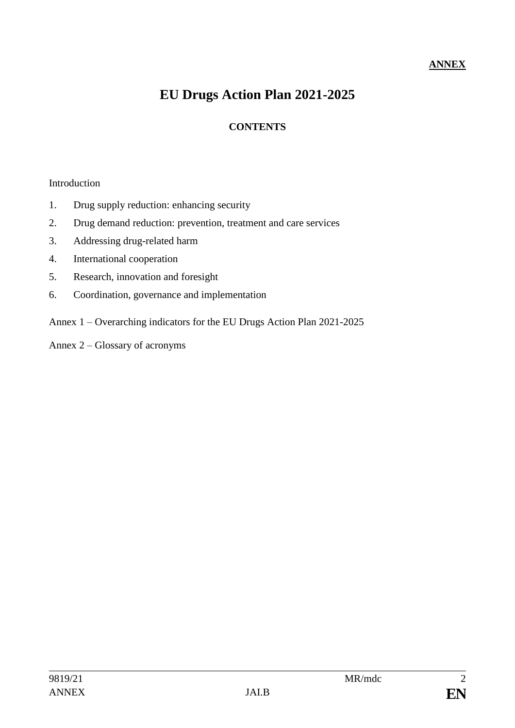## **ANNEX**

# **EU Drugs Action Plan 2021-2025**

### **CONTENTS**

#### Introduction

- 1. Drug supply reduction: enhancing security
- 2. Drug demand reduction: prevention, treatment and care services
- 3. Addressing drug-related harm
- 4. International cooperation
- 5. Research, innovation and foresight
- 6. Coordination, governance and implementation
- Annex 1 Overarching indicators for the EU Drugs Action Plan 2021-2025
- Annex 2 Glossary of acronyms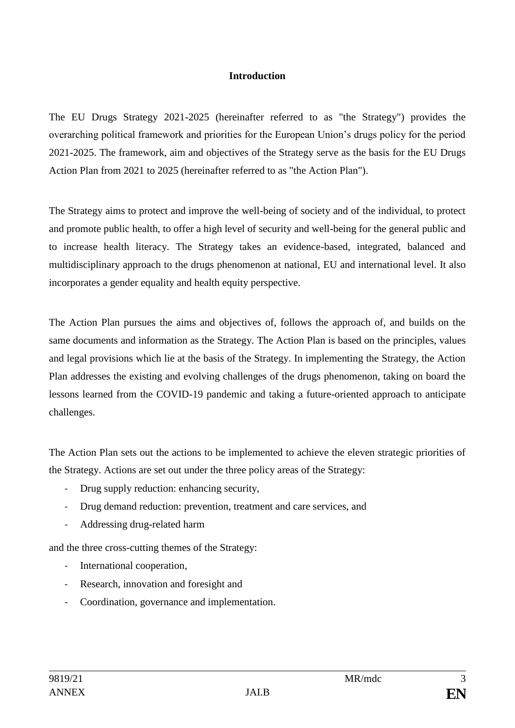#### **Introduction**

The EU Drugs Strategy 2021-2025 (hereinafter referred to as "the Strategy") provides the overarching political framework and priorities for the European Union's drugs policy for the period 2021-2025. The framework, aim and objectives of the Strategy serve as the basis for the EU Drugs Action Plan from 2021 to 2025 (hereinafter referred to as "the Action Plan").

The Strategy aims to protect and improve the well-being of society and of the individual, to protect and promote public health, to offer a high level of security and well-being for the general public and to increase health literacy. The Strategy takes an evidence-based, integrated, balanced and multidisciplinary approach to the drugs phenomenon at national, EU and international level. It also incorporates a gender equality and health equity perspective.

The Action Plan pursues the aims and objectives of, follows the approach of, and builds on the same documents and information as the Strategy. The Action Plan is based on the principles, values and legal provisions which lie at the basis of the Strategy. In implementing the Strategy, the Action Plan addresses the existing and evolving challenges of the drugs phenomenon, taking on board the lessons learned from the COVID-19 pandemic and taking a future-oriented approach to anticipate challenges.

The Action Plan sets out the actions to be implemented to achieve the eleven strategic priorities of the Strategy. Actions are set out under the three policy areas of the Strategy:

- Drug supply reduction: enhancing security,
- Drug demand reduction: prevention, treatment and care services, and
- Addressing drug-related harm

and the three cross-cutting themes of the Strategy:

- International cooperation,
- Research, innovation and foresight and
- Coordination, governance and implementation.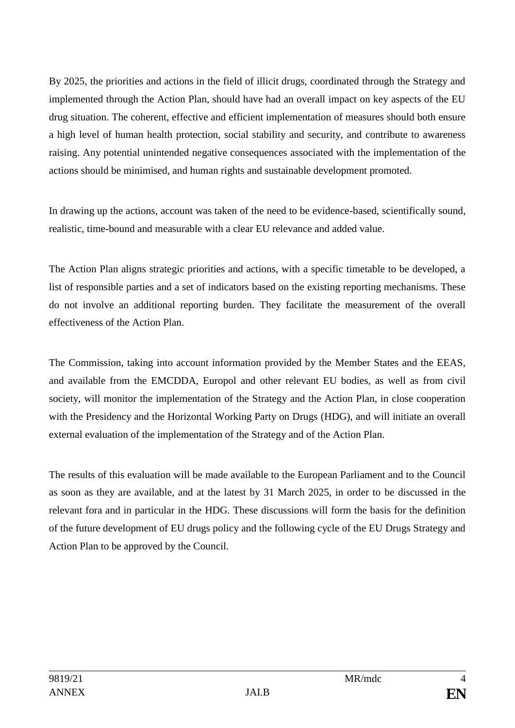By 2025, the priorities and actions in the field of illicit drugs, coordinated through the Strategy and implemented through the Action Plan, should have had an overall impact on key aspects of the EU drug situation. The coherent, effective and efficient implementation of measures should both ensure a high level of human health protection, social stability and security, and contribute to awareness raising. Any potential unintended negative consequences associated with the implementation of the actions should be minimised, and human rights and sustainable development promoted.

In drawing up the actions, account was taken of the need to be evidence-based, scientifically sound, realistic, time-bound and measurable with a clear EU relevance and added value.

The Action Plan aligns strategic priorities and actions, with a specific timetable to be developed, a list of responsible parties and a set of indicators based on the existing reporting mechanisms. These do not involve an additional reporting burden. They facilitate the measurement of the overall effectiveness of the Action Plan.

The Commission, taking into account information provided by the Member States and the EEAS, and available from the EMCDDA, Europol and other relevant EU bodies, as well as from civil society, will monitor the implementation of the Strategy and the Action Plan, in close cooperation with the Presidency and the Horizontal Working Party on Drugs (HDG), and will initiate an overall external evaluation of the implementation of the Strategy and of the Action Plan.

The results of this evaluation will be made available to the European Parliament and to the Council as soon as they are available, and at the latest by 31 March 2025, in order to be discussed in the relevant fora and in particular in the HDG. These discussions will form the basis for the definition of the future development of EU drugs policy and the following cycle of the EU Drugs Strategy and Action Plan to be approved by the Council.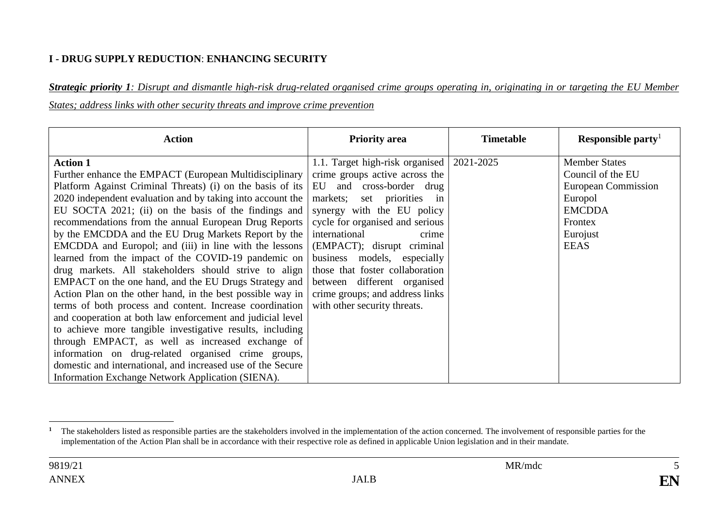#### **I - DRUG SUPPLY REDUCTION**: **ENHANCING SECURITY**

*Strategic priority 1: Disrupt and dismantle high-risk drug-related organised crime groups operating in, originating in or targeting the EU Member States; address links with other security threats and improve crime prevention*

| <b>Action</b>                                               | <b>Priority area</b>            | <b>Timetable</b> | Responsible party    |
|-------------------------------------------------------------|---------------------------------|------------------|----------------------|
| <b>Action 1</b>                                             | 1.1. Target high-risk organised | 2021-2025        | <b>Member States</b> |
| Further enhance the EMPACT (European Multidisciplinary      | crime groups active across the  |                  | Council of the EU    |
| Platform Against Criminal Threats) (i) on the basis of its  | EU and cross-border drug        |                  | European Commission  |
| 2020 independent evaluation and by taking into account the  | markets;<br>set priorities in   |                  | Europol              |
| EU SOCTA 2021; (ii) on the basis of the findings and        | synergy with the EU policy      |                  | <b>EMCDDA</b>        |
| recommendations from the annual European Drug Reports       | cycle for organised and serious |                  | Frontex              |
| by the EMCDDA and the EU Drug Markets Report by the         | international<br>crime          |                  | Eurojust             |
| EMCDDA and Europol; and (iii) in line with the lessons      | (EMPACT); disrupt criminal      |                  | <b>EEAS</b>          |
| learned from the impact of the COVID-19 pandemic on         | business models, especially     |                  |                      |
| drug markets. All stakeholders should strive to align       | those that foster collaboration |                  |                      |
| EMPACT on the one hand, and the EU Drugs Strategy and       | between different organised     |                  |                      |
| Action Plan on the other hand, in the best possible way in  | crime groups; and address links |                  |                      |
| terms of both process and content. Increase coordination    | with other security threats.    |                  |                      |
| and cooperation at both law enforcement and judicial level  |                                 |                  |                      |
| to achieve more tangible investigative results, including   |                                 |                  |                      |
| through EMPACT, as well as increased exchange of            |                                 |                  |                      |
| information on drug-related organised crime groups,         |                                 |                  |                      |
| domestic and international, and increased use of the Secure |                                 |                  |                      |
| Information Exchange Network Application (SIENA).           |                                 |                  |                      |

<sup>&</sup>lt;sup>1</sup> The stakeholders listed as responsible parties are the stakeholders involved in the implementation of the action concerned. The involvement of responsible parties for the implementation of the Action Plan shall be in accordance with their respective role as defined in applicable Union legislation and in their mandate.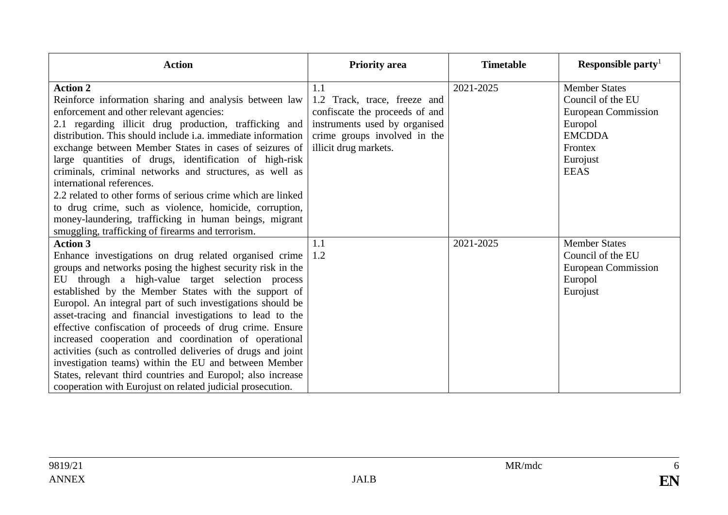| <b>Action</b>                                                                                                                                                                                                                                                                                                                                                                                                                                                                                                                                                                                                                                                                                                                                              | <b>Priority area</b>                                                                                                                                            | <b>Timetable</b> | Responsible party <sup>1</sup>                                                                                                     |
|------------------------------------------------------------------------------------------------------------------------------------------------------------------------------------------------------------------------------------------------------------------------------------------------------------------------------------------------------------------------------------------------------------------------------------------------------------------------------------------------------------------------------------------------------------------------------------------------------------------------------------------------------------------------------------------------------------------------------------------------------------|-----------------------------------------------------------------------------------------------------------------------------------------------------------------|------------------|------------------------------------------------------------------------------------------------------------------------------------|
| <b>Action 2</b><br>Reinforce information sharing and analysis between law<br>enforcement and other relevant agencies:<br>2.1 regarding illicit drug production, trafficking and<br>distribution. This should include i.a. immediate information<br>exchange between Member States in cases of seizures of<br>large quantities of drugs, identification of high-risk<br>criminals, criminal networks and structures, as well as<br>international references.<br>2.2 related to other forms of serious crime which are linked<br>to drug crime, such as violence, homicide, corruption,<br>money-laundering, trafficking in human beings, migrant<br>smuggling, trafficking of firearms and terrorism.                                                       | 1.1<br>1.2 Track, trace, freeze and<br>confiscate the proceeds of and<br>instruments used by organised<br>crime groups involved in the<br>illicit drug markets. | 2021-2025        | <b>Member States</b><br>Council of the EU<br>European Commission<br>Europol<br><b>EMCDDA</b><br>Frontex<br>Eurojust<br><b>EEAS</b> |
| <b>Action 3</b><br>Enhance investigations on drug related organised crime<br>groups and networks posing the highest security risk in the<br>EU through a high-value target selection process<br>established by the Member States with the support of<br>Europol. An integral part of such investigations should be<br>asset-tracing and financial investigations to lead to the<br>effective confiscation of proceeds of drug crime. Ensure<br>increased cooperation and coordination of operational<br>activities (such as controlled deliveries of drugs and joint<br>investigation teams) within the EU and between Member<br>States, relevant third countries and Europol; also increase<br>cooperation with Eurojust on related judicial prosecution. | 1.1<br>$\vert 1.2 \vert$                                                                                                                                        | 2021-2025        | <b>Member States</b><br>Council of the EU<br>European Commission<br>Europol<br>Eurojust                                            |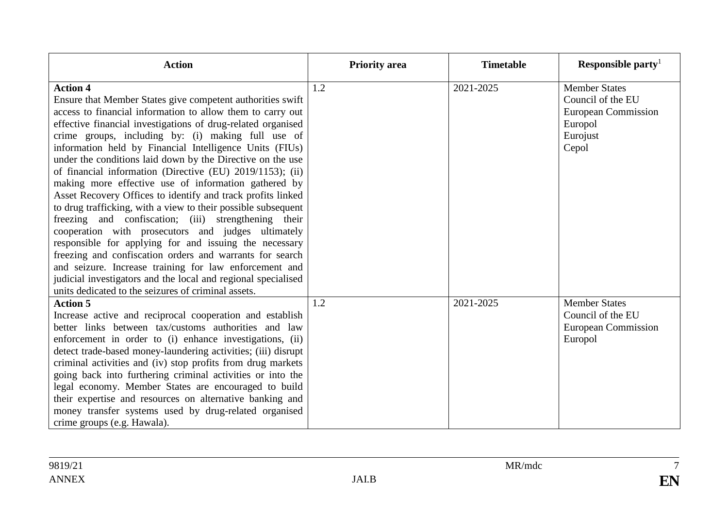| <b>Action</b>                                                                                                                                                                                                                                                                                                                                                                                                                                                                                                                                                                                                                                                                                                                                                                                                                                                                                                                                                                                                                                                         | <b>Priority area</b> | <b>Timetable</b> | Responsible party <sup>1</sup>                                                                          |
|-----------------------------------------------------------------------------------------------------------------------------------------------------------------------------------------------------------------------------------------------------------------------------------------------------------------------------------------------------------------------------------------------------------------------------------------------------------------------------------------------------------------------------------------------------------------------------------------------------------------------------------------------------------------------------------------------------------------------------------------------------------------------------------------------------------------------------------------------------------------------------------------------------------------------------------------------------------------------------------------------------------------------------------------------------------------------|----------------------|------------------|---------------------------------------------------------------------------------------------------------|
| <b>Action 4</b><br>Ensure that Member States give competent authorities swift<br>access to financial information to allow them to carry out<br>effective financial investigations of drug-related organised<br>crime groups, including by: (i) making full use of<br>information held by Financial Intelligence Units (FIUs)<br>under the conditions laid down by the Directive on the use<br>of financial information (Directive (EU) 2019/1153); (ii)<br>making more effective use of information gathered by<br>Asset Recovery Offices to identify and track profits linked<br>to drug trafficking, with a view to their possible subsequent<br>freezing and confiscation; (iii) strengthening their<br>cooperation with prosecutors and judges ultimately<br>responsible for applying for and issuing the necessary<br>freezing and confiscation orders and warrants for search<br>and seizure. Increase training for law enforcement and<br>judicial investigators and the local and regional specialised<br>units dedicated to the seizures of criminal assets. | 1.2                  | 2021-2025        | <b>Member States</b><br>Council of the EU<br><b>European Commission</b><br>Europol<br>Eurojust<br>Cepol |
| <b>Action 5</b><br>Increase active and reciprocal cooperation and establish<br>better links between tax/customs authorities and law<br>enforcement in order to (i) enhance investigations, (ii)<br>detect trade-based money-laundering activities; (iii) disrupt<br>criminal activities and (iv) stop profits from drug markets<br>going back into furthering criminal activities or into the<br>legal economy. Member States are encouraged to build<br>their expertise and resources on alternative banking and<br>money transfer systems used by drug-related organised<br>crime groups (e.g. Hawala).                                                                                                                                                                                                                                                                                                                                                                                                                                                             | 1.2                  | 2021-2025        | <b>Member States</b><br>Council of the EU<br><b>European Commission</b><br>Europol                      |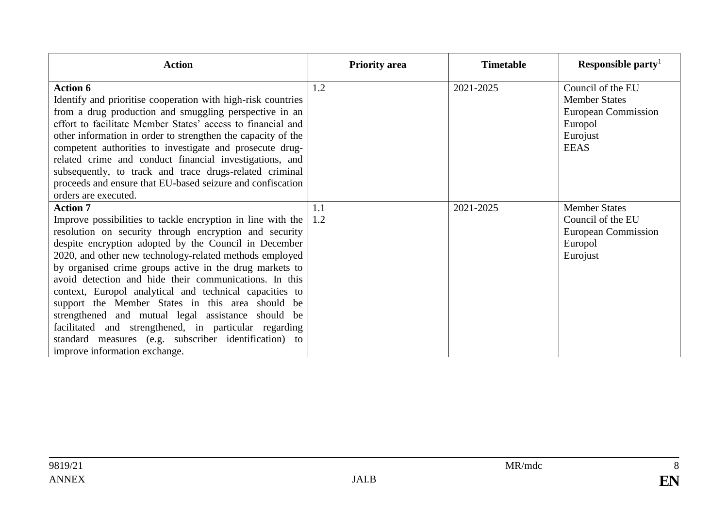| <b>Action</b>                                                                                                                                                                                                                                                                                                                                                                                                                                                                                                                                                                                                                                                                                                | <b>Priority area</b> | <b>Timetable</b> | Responsible party                                                                                             |
|--------------------------------------------------------------------------------------------------------------------------------------------------------------------------------------------------------------------------------------------------------------------------------------------------------------------------------------------------------------------------------------------------------------------------------------------------------------------------------------------------------------------------------------------------------------------------------------------------------------------------------------------------------------------------------------------------------------|----------------------|------------------|---------------------------------------------------------------------------------------------------------------|
| <b>Action 6</b><br>Identify and prioritise cooperation with high-risk countries<br>from a drug production and smuggling perspective in an<br>effort to facilitate Member States' access to financial and<br>other information in order to strengthen the capacity of the<br>competent authorities to investigate and prosecute drug-<br>related crime and conduct financial investigations, and<br>subsequently, to track and trace drugs-related criminal<br>proceeds and ensure that EU-based seizure and confiscation<br>orders are executed.                                                                                                                                                             | 1.2                  | 2021-2025        | Council of the EU<br><b>Member States</b><br><b>European Commission</b><br>Europol<br>Eurojust<br><b>EEAS</b> |
| <b>Action 7</b><br>Improve possibilities to tackle encryption in line with the<br>resolution on security through encryption and security<br>despite encryption adopted by the Council in December<br>2020, and other new technology-related methods employed<br>by organised crime groups active in the drug markets to<br>avoid detection and hide their communications. In this<br>context, Europol analytical and technical capacities to<br>support the Member States in this area should be<br>strengthened and mutual legal assistance should<br>be<br>facilitated and strengthened, in particular regarding<br>standard measures (e.g. subscriber identification) to<br>improve information exchange. | 1.1<br>1.2           | 2021-2025        | <b>Member States</b><br>Council of the EU<br><b>European Commission</b><br>Europol<br>Eurojust                |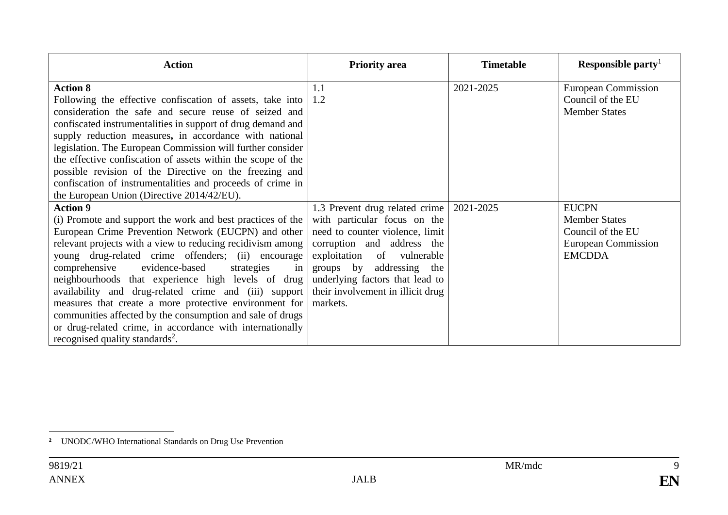| <b>Action</b>                                                                                                                                                                                                                                                                                                                                                                                                                                                                                                                                                                                                                                                     | <b>Priority area</b>                                                                                                                                                                                                                                                          | <b>Timetable</b> | Responsible party                                                                                 |
|-------------------------------------------------------------------------------------------------------------------------------------------------------------------------------------------------------------------------------------------------------------------------------------------------------------------------------------------------------------------------------------------------------------------------------------------------------------------------------------------------------------------------------------------------------------------------------------------------------------------------------------------------------------------|-------------------------------------------------------------------------------------------------------------------------------------------------------------------------------------------------------------------------------------------------------------------------------|------------------|---------------------------------------------------------------------------------------------------|
| <b>Action 8</b><br>Following the effective confiscation of assets, take into $\vert 1.2 \rangle$<br>consideration the safe and secure reuse of seized and<br>confiscated instrumentalities in support of drug demand and<br>supply reduction measures, in accordance with national<br>legislation. The European Commission will further consider<br>the effective confiscation of assets within the scope of the<br>possible revision of the Directive on the freezing and<br>confiscation of instrumentalities and proceeds of crime in<br>the European Union (Directive 2014/42/EU).                                                                            | 1.1                                                                                                                                                                                                                                                                           | 2021-2025        | <b>European Commission</b><br>Council of the EU<br><b>Member States</b>                           |
| <b>Action 9</b><br>(i) Promote and support the work and best practices of the<br>European Crime Prevention Network (EUCPN) and other<br>relevant projects with a view to reducing recidivism among<br>young drug-related crime offenders; (ii) encourage<br>comprehensive<br>evidence-based<br>strategies<br>in<br>neighbourhoods that experience high levels of drug<br>availability and drug-related crime and (iii) support<br>measures that create a more protective environment for<br>communities affected by the consumption and sale of drugs<br>or drug-related crime, in accordance with internationally<br>recognised quality standards <sup>2</sup> . | 1.3 Prevent drug related crime<br>with particular focus on the<br>need to counter violence, limit<br>corruption and address the<br>exploitation of vulnerable<br>groups by addressing the<br>underlying factors that lead to<br>their involvement in illicit drug<br>markets. | 2021-2025        | <b>EUCPN</b><br><b>Member States</b><br>Council of the EU<br>European Commission<br><b>EMCDDA</b> |

 $\overline{a}$ **<sup>2</sup>** UNODC/WHO International Standards on Drug Use Prevention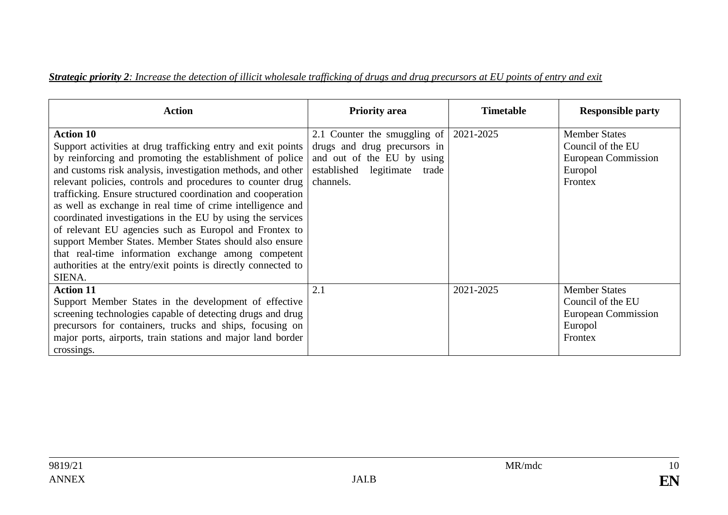#### *Strategic priority 2: Increase the detection of illicit wholesale trafficking of drugs and drug precursors at EU points of entry and exit*

| <b>Action</b>                                                                                                                                                                                                                                                                                                                                                                                                                                                                                                                                                                                                                                                                                                               | <b>Priority area</b>                                                                                                                    | <b>Timetable</b> | <b>Responsible party</b>                                                               |
|-----------------------------------------------------------------------------------------------------------------------------------------------------------------------------------------------------------------------------------------------------------------------------------------------------------------------------------------------------------------------------------------------------------------------------------------------------------------------------------------------------------------------------------------------------------------------------------------------------------------------------------------------------------------------------------------------------------------------------|-----------------------------------------------------------------------------------------------------------------------------------------|------------------|----------------------------------------------------------------------------------------|
| <b>Action 10</b><br>Support activities at drug trafficking entry and exit points<br>by reinforcing and promoting the establishment of police<br>and customs risk analysis, investigation methods, and other<br>relevant policies, controls and procedures to counter drug<br>trafficking. Ensure structured coordination and cooperation<br>as well as exchange in real time of crime intelligence and<br>coordinated investigations in the EU by using the services<br>of relevant EU agencies such as Europol and Frontex to<br>support Member States. Member States should also ensure<br>that real-time information exchange among competent<br>authorities at the entry/exit points is directly connected to<br>SIENA. | 2.1 Counter the smuggling of<br>drugs and drug precursors in<br>and out of the EU by using<br>established legitimate trade<br>channels. | 2021-2025        | <b>Member States</b><br>Council of the EU<br>European Commission<br>Europol<br>Frontex |
| <b>Action 11</b><br>Support Member States in the development of effective<br>screening technologies capable of detecting drugs and drug<br>precursors for containers, trucks and ships, focusing on<br>major ports, airports, train stations and major land border<br>crossings.                                                                                                                                                                                                                                                                                                                                                                                                                                            | 2.1                                                                                                                                     | 2021-2025        | <b>Member States</b><br>Council of the EU<br>European Commission<br>Europol<br>Frontex |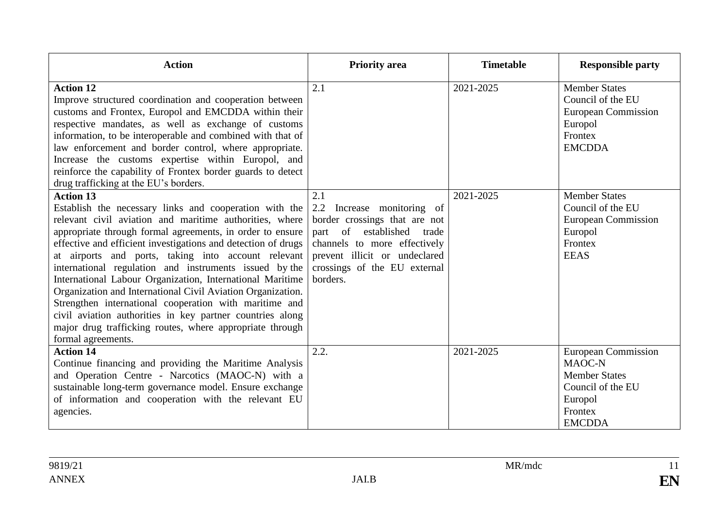| <b>Action</b>                                                                                                                                                                                                                                                                                                                                                                                                                                                                                                                                                                                                                                                                                                             | <b>Priority</b> area                                                                                                                                                                                            | <b>Timetable</b> | <b>Responsible party</b>                                                                                                 |
|---------------------------------------------------------------------------------------------------------------------------------------------------------------------------------------------------------------------------------------------------------------------------------------------------------------------------------------------------------------------------------------------------------------------------------------------------------------------------------------------------------------------------------------------------------------------------------------------------------------------------------------------------------------------------------------------------------------------------|-----------------------------------------------------------------------------------------------------------------------------------------------------------------------------------------------------------------|------------------|--------------------------------------------------------------------------------------------------------------------------|
| <b>Action 12</b><br>Improve structured coordination and cooperation between<br>customs and Frontex, Europol and EMCDDA within their<br>respective mandates, as well as exchange of customs<br>information, to be interoperable and combined with that of<br>law enforcement and border control, where appropriate.<br>Increase the customs expertise within Europol, and<br>reinforce the capability of Frontex border guards to detect<br>drug trafficking at the EU's borders.                                                                                                                                                                                                                                          | 2.1                                                                                                                                                                                                             | 2021-2025        | <b>Member States</b><br>Council of the EU<br><b>European Commission</b><br>Europol<br>Frontex<br><b>EMCDDA</b>           |
| <b>Action 13</b><br>Establish the necessary links and cooperation with the<br>relevant civil aviation and maritime authorities, where<br>appropriate through formal agreements, in order to ensure<br>effective and efficient investigations and detection of drugs<br>at airports and ports, taking into account relevant<br>international regulation and instruments issued by the<br>International Labour Organization, International Maritime<br>Organization and International Civil Aviation Organization.<br>Strengthen international cooperation with maritime and<br>civil aviation authorities in key partner countries along<br>major drug trafficking routes, where appropriate through<br>formal agreements. | 2.1<br>2.2<br>Increase monitoring of<br>border crossings that are not<br>part of established trade<br>channels to more effectively<br>prevent illicit or undeclared<br>crossings of the EU external<br>borders. | 2021-2025        | <b>Member States</b><br>Council of the EU<br><b>European Commission</b><br>Europol<br>Frontex<br><b>EEAS</b>             |
| <b>Action 14</b><br>Continue financing and providing the Maritime Analysis<br>and Operation Centre - Narcotics (MAOC-N) with a<br>sustainable long-term governance model. Ensure exchange<br>of information and cooperation with the relevant EU<br>agencies.                                                                                                                                                                                                                                                                                                                                                                                                                                                             | 2.2.                                                                                                                                                                                                            | 2021-2025        | <b>European Commission</b><br>MAOC-N<br><b>Member States</b><br>Council of the EU<br>Europol<br>Frontex<br><b>EMCDDA</b> |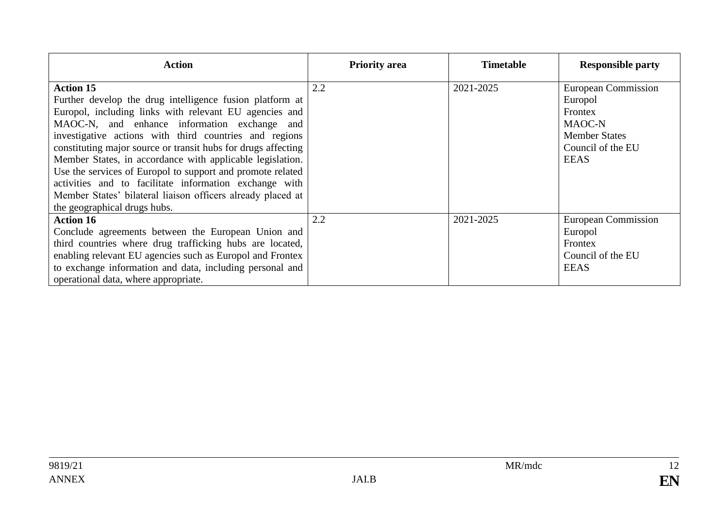| <b>Action</b>                                                                                                                                                                                                                                                                                                                                                                                                                                                                                                                                                                                         | <b>Priority area</b> | <b>Timetable</b> | <b>Responsible party</b>                                                                                               |
|-------------------------------------------------------------------------------------------------------------------------------------------------------------------------------------------------------------------------------------------------------------------------------------------------------------------------------------------------------------------------------------------------------------------------------------------------------------------------------------------------------------------------------------------------------------------------------------------------------|----------------------|------------------|------------------------------------------------------------------------------------------------------------------------|
| <b>Action 15</b><br>Further develop the drug intelligence fusion platform at<br>Europol, including links with relevant EU agencies and<br>MAOC-N, and enhance information exchange and<br>investigative actions with third countries and regions<br>constituting major source or transit hubs for drugs affecting<br>Member States, in accordance with applicable legislation.<br>Use the services of Europol to support and promote related<br>activities and to facilitate information exchange with<br>Member States' bilateral liaison officers already placed at<br>the geographical drugs hubs. | 2.2                  | 2021-2025        | <b>European Commission</b><br>Europol<br>Frontex<br>MAOC-N<br><b>Member States</b><br>Council of the EU<br><b>EEAS</b> |
| <b>Action 16</b><br>Conclude agreements between the European Union and<br>third countries where drug trafficking hubs are located,<br>enabling relevant EU agencies such as Europol and Frontex<br>to exchange information and data, including personal and<br>operational data, where appropriate.                                                                                                                                                                                                                                                                                                   | 2.2                  | 2021-2025        | <b>European Commission</b><br>Europol<br>Frontex<br>Council of the EU<br><b>EEAS</b>                                   |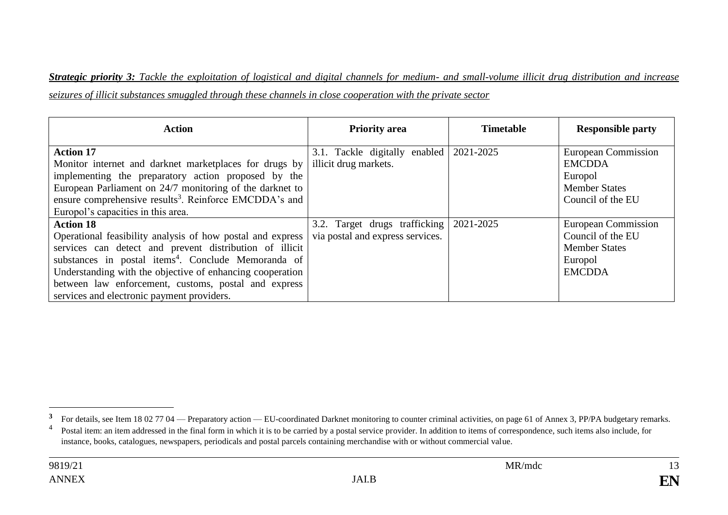*Strategic priority 3: Tackle the exploitation of logistical and digital channels for medium- and small-volume illicit drug distribution and increase seizures of illicit substances smuggled through these channels in close cooperation with the private sector*

| <b>Action</b>                                                                                                                                                                                                                                                                                                                                                                   | <b>Priority area</b>                                              | <b>Timetable</b> | <b>Responsible party</b>                                                                            |
|---------------------------------------------------------------------------------------------------------------------------------------------------------------------------------------------------------------------------------------------------------------------------------------------------------------------------------------------------------------------------------|-------------------------------------------------------------------|------------------|-----------------------------------------------------------------------------------------------------|
| <b>Action 17</b><br>Monitor internet and darknet marketplaces for drugs by<br>implementing the preparatory action proposed by the<br>European Parliament on 24/7 monitoring of the darknet to<br>ensure comprehensive results <sup>3</sup> . Reinforce EMCDDA's and<br>Europol's capacities in this area.                                                                       | 3.1. Tackle digitally enabled 2021-2025<br>illicit drug markets.  |                  | European Commission<br><b>EMCDDA</b><br>Europol<br><b>Member States</b><br>Council of the EU        |
| <b>Action 18</b><br>Operational feasibility analysis of how postal and express<br>services can detect and prevent distribution of illicit<br>substances in postal items <sup>4</sup> . Conclude Memoranda of<br>Understanding with the objective of enhancing cooperation<br>between law enforcement, customs, postal and express<br>services and electronic payment providers. | 3.2. Target drugs trafficking<br>via postal and express services. | 2021-2025        | <b>European Commission</b><br>Council of the EU<br><b>Member States</b><br>Europol<br><b>EMCDDA</b> |

<sup>&</sup>lt;sup>3</sup> For details, see Item 18 02 77 04 — Preparatory action — EU-coordinated Darknet monitoring to counter criminal activities, on page 61 of Annex 3, PP/PA budgetary remarks.

<sup>4</sup> Postal item: an item addressed in the final form in which it is to be carried by a postal service provider. In addition to items of correspondence, such items also include, for instance, books, catalogues, newspapers, periodicals and postal parcels containing merchandise with or without commercial value.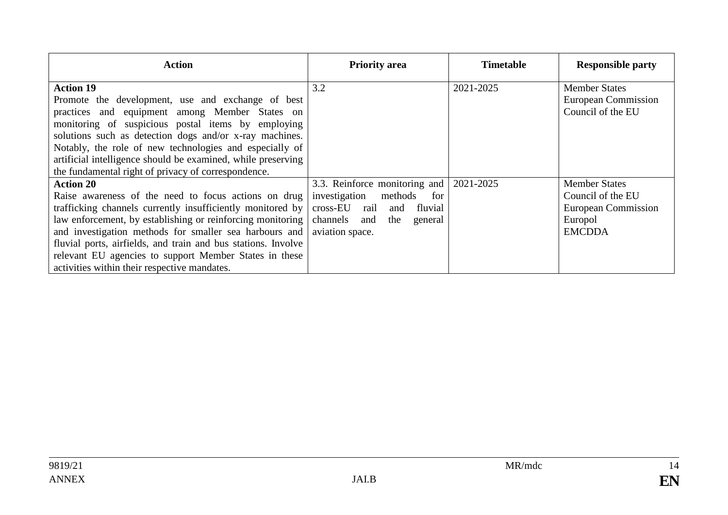| Action                                                                                                                                                                                                                                                                                                                                                                                                                                      | <b>Priority area</b>                                                                                                                                  | <b>Timetable</b> | <b>Responsible party</b>                                                                     |
|---------------------------------------------------------------------------------------------------------------------------------------------------------------------------------------------------------------------------------------------------------------------------------------------------------------------------------------------------------------------------------------------------------------------------------------------|-------------------------------------------------------------------------------------------------------------------------------------------------------|------------------|----------------------------------------------------------------------------------------------|
| <b>Action 19</b><br>Promote the development, use and exchange of best<br>practices and equipment among Member States on<br>monitoring of suspicious postal items by employing<br>solutions such as detection dogs and/or x-ray machines.<br>Notably, the role of new technologies and especially of<br>artificial intelligence should be examined, while preserving<br>the fundamental right of privacy of correspondence.                  | 3.2                                                                                                                                                   | 2021-2025        | <b>Member States</b><br>European Commission<br>Council of the EU                             |
| <b>Action 20</b><br>Raise awareness of the need to focus actions on drug<br>trafficking channels currently insufficiently monitored by<br>law enforcement, by establishing or reinforcing monitoring  <br>and investigation methods for smaller sea harbours and<br>fluvial ports, airfields, and train and bus stations. Involve<br>relevant EU agencies to support Member States in these<br>activities within their respective mandates. | 3.3. Reinforce monitoring and<br>investigation methods<br>for<br>fluvial<br>cross-EU rail<br>and<br>channels and<br>the<br>general<br>aviation space. | 2021-2025        | <b>Member States</b><br>Council of the EU<br>European Commission<br>Europol<br><b>EMCDDA</b> |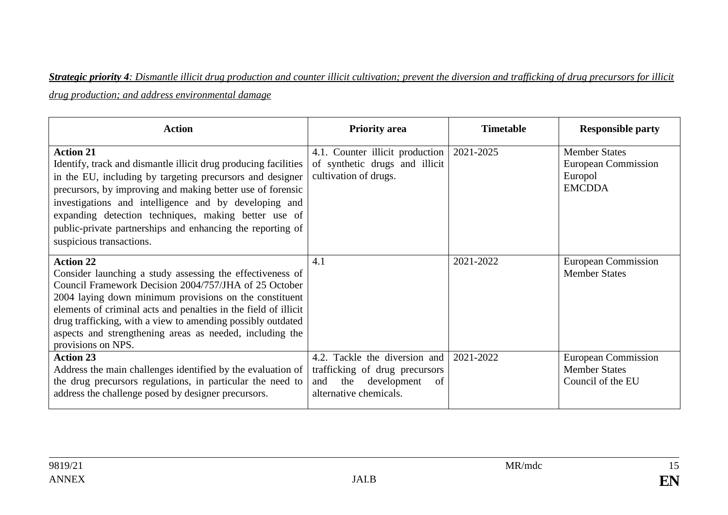# *Strategic priority 4: Dismantle illicit drug production and counter illicit cultivation; prevent the diversion and trafficking of drug precursors for illicit drug production; and address environmental damage*

| <b>Action</b>                                                                                                                                                                                                                                                                                                                                                                                                             | <b>Priority area</b>                                                                                                         | <b>Timetable</b> | <b>Responsible party</b>                                                |
|---------------------------------------------------------------------------------------------------------------------------------------------------------------------------------------------------------------------------------------------------------------------------------------------------------------------------------------------------------------------------------------------------------------------------|------------------------------------------------------------------------------------------------------------------------------|------------------|-------------------------------------------------------------------------|
| <b>Action 21</b><br>Identify, track and dismantle illicit drug producing facilities<br>in the EU, including by targeting precursors and designer<br>precursors, by improving and making better use of forensic<br>investigations and intelligence and by developing and<br>expanding detection techniques, making better use of<br>public-private partnerships and enhancing the reporting of<br>suspicious transactions. | 4.1. Counter illicit production<br>of synthetic drugs and illicit<br>cultivation of drugs.                                   | 2021-2025        | <b>Member States</b><br>European Commission<br>Europol<br><b>EMCDDA</b> |
| <b>Action 22</b><br>Consider launching a study assessing the effectiveness of<br>Council Framework Decision 2004/757/JHA of 25 October<br>2004 laying down minimum provisions on the constituent<br>elements of criminal acts and penalties in the field of illicit<br>drug trafficking, with a view to amending possibly outdated<br>aspects and strengthening areas as needed, including the<br>provisions on NPS.      | 4.1                                                                                                                          | 2021-2022        | European Commission<br><b>Member States</b>                             |
| <b>Action 23</b><br>Address the main challenges identified by the evaluation of<br>the drug precursors regulations, in particular the need to<br>address the challenge posed by designer precursors.                                                                                                                                                                                                                      | 4.2. Tackle the diversion and<br>trafficking of drug precursors<br>the<br>development<br>and<br>of<br>alternative chemicals. | 2021-2022        | <b>European Commission</b><br><b>Member States</b><br>Council of the EU |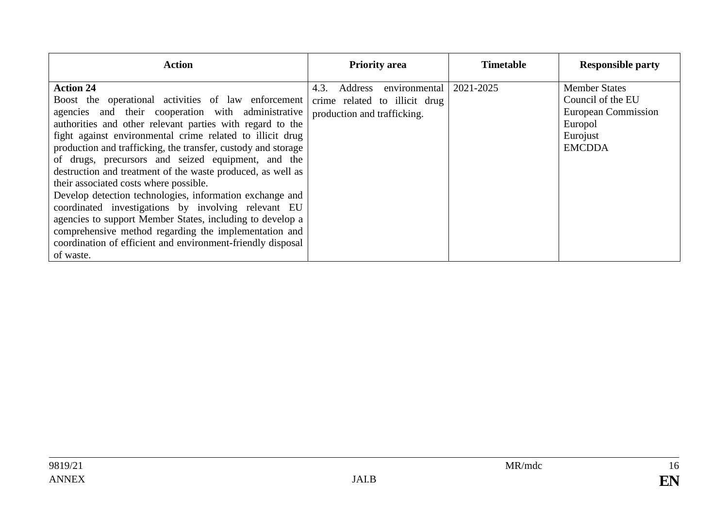| <b>Action</b>                                                                                                                                                                                                                                                                                                                                                                                                                                                                                                                                                                                                                                                                                                                                                                                                | <b>Priority area</b>                                                                             | <b>Timetable</b> | <b>Responsible party</b>                                                                                 |
|--------------------------------------------------------------------------------------------------------------------------------------------------------------------------------------------------------------------------------------------------------------------------------------------------------------------------------------------------------------------------------------------------------------------------------------------------------------------------------------------------------------------------------------------------------------------------------------------------------------------------------------------------------------------------------------------------------------------------------------------------------------------------------------------------------------|--------------------------------------------------------------------------------------------------|------------------|----------------------------------------------------------------------------------------------------------|
| <b>Action 24</b><br>Boost the operational activities of law enforcement<br>agencies and their cooperation with administrative<br>authorities and other relevant parties with regard to the<br>fight against environmental crime related to illicit drug<br>production and trafficking, the transfer, custody and storage<br>of drugs, precursors and seized equipment, and the<br>destruction and treatment of the waste produced, as well as<br>their associated costs where possible.<br>Develop detection technologies, information exchange and<br>coordinated investigations by involving relevant EU<br>agencies to support Member States, including to develop a<br>comprehensive method regarding the implementation and<br>coordination of efficient and environment-friendly disposal<br>of waste. | environmental<br>Address<br>4.3.<br>crime related to illicit drug<br>production and trafficking. | 2021-2025        | <b>Member States</b><br>Council of the EU<br>European Commission<br>Europol<br>Eurojust<br><b>EMCDDA</b> |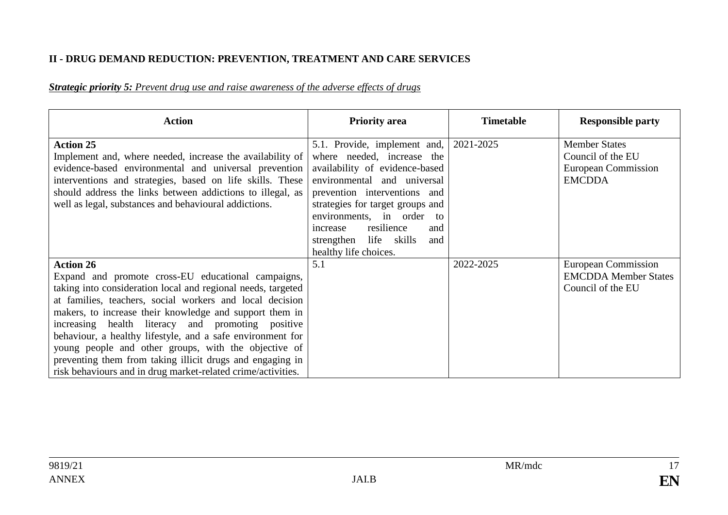#### **II - DRUG DEMAND REDUCTION: PREVENTION, TREATMENT AND CARE SERVICES**

#### *Strategic priority 5: Prevent drug use and raise awareness of the adverse effects of drugs*

| <b>Action</b>                                                                                                                                                                                                                                                                                                                                                                                                                                                                                                                                                         | <b>Priority area</b>                                                                                                                                                                                                                                                                                                       | <b>Timetable</b> | <b>Responsible party</b>                                                          |
|-----------------------------------------------------------------------------------------------------------------------------------------------------------------------------------------------------------------------------------------------------------------------------------------------------------------------------------------------------------------------------------------------------------------------------------------------------------------------------------------------------------------------------------------------------------------------|----------------------------------------------------------------------------------------------------------------------------------------------------------------------------------------------------------------------------------------------------------------------------------------------------------------------------|------------------|-----------------------------------------------------------------------------------|
| <b>Action 25</b><br>Implement and, where needed, increase the availability of<br>evidence-based environmental and universal prevention<br>interventions and strategies, based on life skills. These<br>should address the links between addictions to illegal, as<br>well as legal, substances and behavioural addictions.                                                                                                                                                                                                                                            | 5.1. Provide, implement and,<br>where needed, increase the<br>availability of evidence-based<br>environmental and universal<br>prevention interventions and<br>strategies for target groups and<br>environments, in order to<br>resilience<br>and<br>increase<br>life skills<br>strengthen<br>and<br>healthy life choices. | 2021-2025        | <b>Member States</b><br>Council of the EU<br>European Commission<br><b>EMCDDA</b> |
| <b>Action 26</b><br>Expand and promote cross-EU educational campaigns,<br>taking into consideration local and regional needs, targeted<br>at families, teachers, social workers and local decision<br>makers, to increase their knowledge and support them in<br>increasing health literacy and promoting positive<br>behaviour, a healthy lifestyle, and a safe environment for<br>young people and other groups, with the objective of<br>preventing them from taking illicit drugs and engaging in<br>risk behaviours and in drug market-related crime/activities. | 5.1                                                                                                                                                                                                                                                                                                                        | 2022-2025        | European Commission<br><b>EMCDDA</b> Member States<br>Council of the EU           |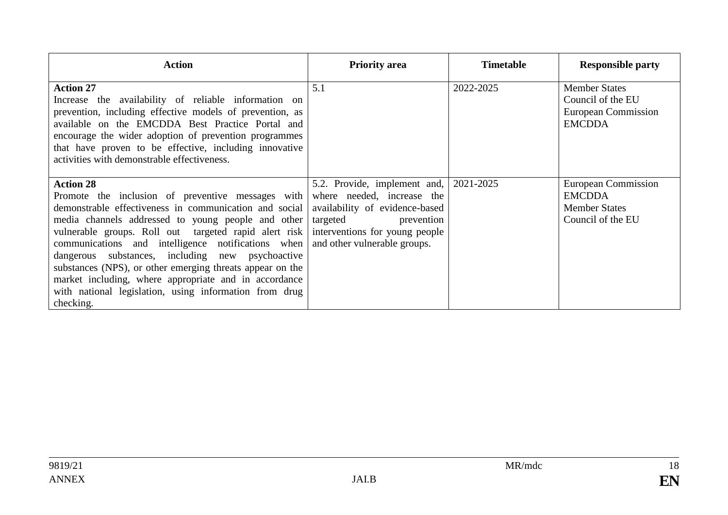| <b>Action</b>                                                                                                                                                                                                                                                                                                                                                                                                                                                                                                                                                                                                                                | <b>Priority area</b>                                                                     | <b>Timetable</b> | <b>Responsible party</b>                                                          |
|----------------------------------------------------------------------------------------------------------------------------------------------------------------------------------------------------------------------------------------------------------------------------------------------------------------------------------------------------------------------------------------------------------------------------------------------------------------------------------------------------------------------------------------------------------------------------------------------------------------------------------------------|------------------------------------------------------------------------------------------|------------------|-----------------------------------------------------------------------------------|
| <b>Action 27</b><br>Increase the availability of reliable information on<br>prevention, including effective models of prevention, as<br>available on the EMCDDA Best Practice Portal and<br>encourage the wider adoption of prevention programmes<br>that have proven to be effective, including innovative<br>activities with demonstrable effectiveness.                                                                                                                                                                                                                                                                                   | 5.1                                                                                      | 2022-2025        | <b>Member States</b><br>Council of the EU<br>European Commission<br><b>EMCDDA</b> |
| <b>Action 28</b><br>Promote the inclusion of preventive messages with where needed, increase the<br>demonstrable effectiveness in communication and social<br>media channels addressed to young people and other<br>vulnerable groups. Roll out targeted rapid alert risk interventions for young people<br>communications and intelligence notifications when and other vulnerable groups.<br>dangerous substances, including new psychoactive<br>substances (NPS), or other emerging threats appear on the<br>market including, where appropriate and in accordance<br>with national legislation, using information from drug<br>checking. | 5.2. Provide, implement and,<br>availability of evidence-based<br>targeted<br>prevention | 2021-2025        | European Commission<br><b>EMCDDA</b><br><b>Member States</b><br>Council of the EU |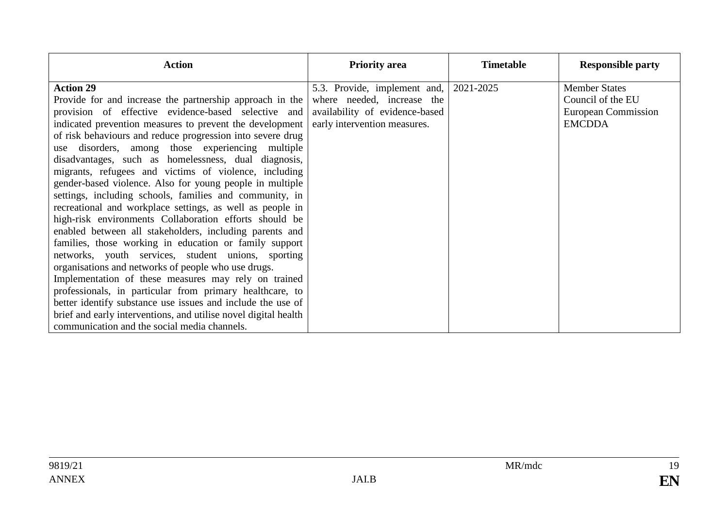| <b>Action</b>                                                                                                           | <b>Priority area</b>           | <b>Timetable</b> | <b>Responsible party</b>   |
|-------------------------------------------------------------------------------------------------------------------------|--------------------------------|------------------|----------------------------|
| <b>Action 29</b>                                                                                                        | 5.3. Provide, implement and,   | 2021-2025        | <b>Member States</b>       |
| Provide for and increase the partnership approach in the where needed, increase the                                     |                                |                  | Council of the EU          |
| provision of effective evidence-based selective and                                                                     | availability of evidence-based |                  | <b>European Commission</b> |
| indicated prevention measures to prevent the development                                                                | early intervention measures.   |                  | <b>EMCDDA</b>              |
| of risk behaviours and reduce progression into severe drug                                                              |                                |                  |                            |
| use disorders, among those experiencing multiple                                                                        |                                |                  |                            |
| disadvantages, such as homelessness, dual diagnosis,                                                                    |                                |                  |                            |
| migrants, refugees and victims of violence, including                                                                   |                                |                  |                            |
| gender-based violence. Also for young people in multiple                                                                |                                |                  |                            |
| settings, including schools, families and community, in                                                                 |                                |                  |                            |
| recreational and workplace settings, as well as people in                                                               |                                |                  |                            |
| high-risk environments Collaboration efforts should be                                                                  |                                |                  |                            |
| enabled between all stakeholders, including parents and                                                                 |                                |                  |                            |
| families, those working in education or family support                                                                  |                                |                  |                            |
| networks, youth services, student unions, sporting                                                                      |                                |                  |                            |
| organisations and networks of people who use drugs.                                                                     |                                |                  |                            |
| Implementation of these measures may rely on trained                                                                    |                                |                  |                            |
| professionals, in particular from primary healthcare, to<br>better identify substance use issues and include the use of |                                |                  |                            |
| brief and early interventions, and utilise novel digital health                                                         |                                |                  |                            |
|                                                                                                                         |                                |                  |                            |
| communication and the social media channels.                                                                            |                                |                  |                            |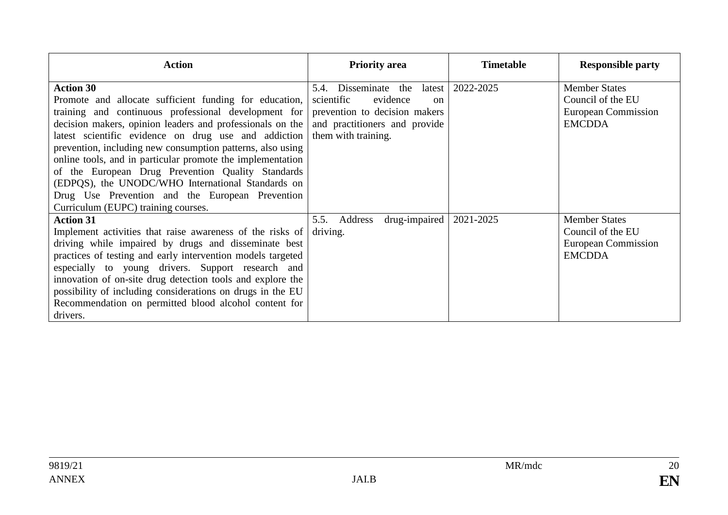| <b>Action</b>                                                                                                                                                                                                                                                                                                                                                                                                                                                                                                                                                                           | <b>Priority area</b>                                                                                                                                               | <b>Timetable</b> | <b>Responsible party</b>                                                                 |
|-----------------------------------------------------------------------------------------------------------------------------------------------------------------------------------------------------------------------------------------------------------------------------------------------------------------------------------------------------------------------------------------------------------------------------------------------------------------------------------------------------------------------------------------------------------------------------------------|--------------------------------------------------------------------------------------------------------------------------------------------------------------------|------------------|------------------------------------------------------------------------------------------|
| <b>Action 30</b><br>Promote and allocate sufficient funding for education,<br>training and continuous professional development for<br>decision makers, opinion leaders and professionals on the<br>latest scientific evidence on drug use and addiction<br>prevention, including new consumption patterns, also using<br>online tools, and in particular promote the implementation<br>of the European Drug Prevention Quality Standards<br>(EDPQS), the UNODC/WHO International Standards on<br>Drug Use Prevention and the European Prevention<br>Curriculum (EUPC) training courses. | Disseminate the latest<br>5.4.<br>scientific<br>evidence<br><sub>on</sub><br>prevention to decision makers<br>and practitioners and provide<br>them with training. | 2022-2025        | <b>Member States</b><br>Council of the EU<br><b>European Commission</b><br><b>EMCDDA</b> |
| <b>Action 31</b><br>Implement activities that raise awareness of the risks of<br>driving while impaired by drugs and disseminate best<br>practices of testing and early intervention models targeted<br>especially to young drivers. Support research and<br>innovation of on-site drug detection tools and explore the<br>possibility of including considerations on drugs in the EU<br>Recommendation on permitted blood alcohol content for<br>drivers.                                                                                                                              | drug-impaired<br>5.5.<br>Address<br>driving.                                                                                                                       | 2021-2025        | <b>Member States</b><br>Council of the EU<br>European Commission<br><b>EMCDDA</b>        |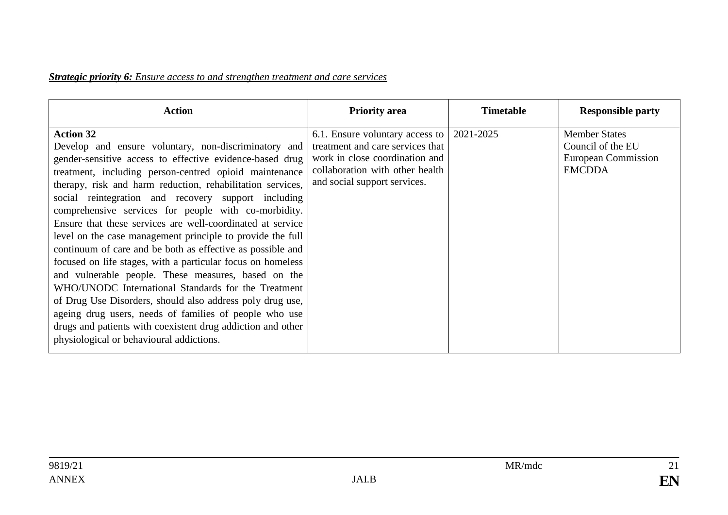#### *Strategic priority 6: Ensure access to and strengthen treatment and care services*

| <b>Action</b>                                                                                                                                                                                                                                                                                                                                                                                                                                                                                                                                                                                                                                                                                                                                                                                                                                                                                                                                                                        | <b>Priority area</b>                                                                                                                                                     | <b>Timetable</b> | <b>Responsible party</b>                                                                 |
|--------------------------------------------------------------------------------------------------------------------------------------------------------------------------------------------------------------------------------------------------------------------------------------------------------------------------------------------------------------------------------------------------------------------------------------------------------------------------------------------------------------------------------------------------------------------------------------------------------------------------------------------------------------------------------------------------------------------------------------------------------------------------------------------------------------------------------------------------------------------------------------------------------------------------------------------------------------------------------------|--------------------------------------------------------------------------------------------------------------------------------------------------------------------------|------------------|------------------------------------------------------------------------------------------|
| <b>Action 32</b><br>Develop and ensure voluntary, non-discriminatory and<br>gender-sensitive access to effective evidence-based drug<br>treatment, including person-centred opioid maintenance<br>therapy, risk and harm reduction, rehabilitation services,<br>social reintegration and recovery support including<br>comprehensive services for people with co-morbidity.<br>Ensure that these services are well-coordinated at service<br>level on the case management principle to provide the full<br>continuum of care and be both as effective as possible and<br>focused on life stages, with a particular focus on homeless<br>and vulnerable people. These measures, based on the<br>WHO/UNODC International Standards for the Treatment<br>of Drug Use Disorders, should also address poly drug use,<br>ageing drug users, needs of families of people who use<br>drugs and patients with coexistent drug addiction and other<br>physiological or behavioural addictions. | 6.1. Ensure voluntary access to<br>treatment and care services that<br>work in close coordination and<br>collaboration with other health<br>and social support services. | 2021-2025        | <b>Member States</b><br>Council of the EU<br><b>European Commission</b><br><b>EMCDDA</b> |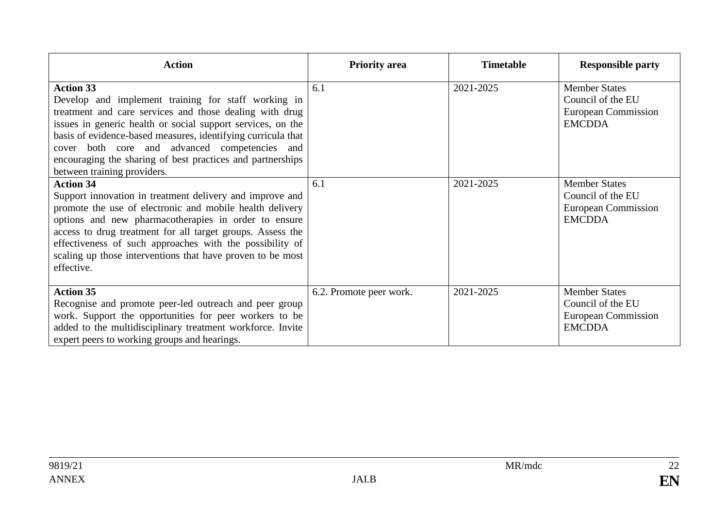| <b>Action</b>                                                                                                                                                                                                                                                                                                                                                                                                   | <b>Priority area</b>    | <b>Timetable</b> | <b>Responsible party</b>                                                                 |
|-----------------------------------------------------------------------------------------------------------------------------------------------------------------------------------------------------------------------------------------------------------------------------------------------------------------------------------------------------------------------------------------------------------------|-------------------------|------------------|------------------------------------------------------------------------------------------|
| <b>Action 33</b><br>Develop and implement training for staff working in<br>treatment and care services and those dealing with drug<br>issues in generic health or social support services, on the<br>basis of evidence-based measures, identifying curricula that<br>cover both core and advanced competencies and<br>encouraging the sharing of best practices and partnerships<br>between training providers. | 6.1                     | 2021-2025        | <b>Member States</b><br>Council of the EU<br><b>European Commission</b><br><b>EMCDDA</b> |
| <b>Action 34</b><br>Support innovation in treatment delivery and improve and<br>promote the use of electronic and mobile health delivery<br>options and new pharmacotherapies in order to ensure<br>access to drug treatment for all target groups. Assess the<br>effectiveness of such approaches with the possibility of<br>scaling up those interventions that have proven to be most<br>effective.          | 6.1                     | 2021-2025        | <b>Member States</b><br>Council of the EU<br><b>European Commission</b><br><b>EMCDDA</b> |
| <b>Action 35</b><br>Recognise and promote peer-led outreach and peer group<br>work. Support the opportunities for peer workers to be<br>added to the multidisciplinary treatment workforce. Invite<br>expert peers to working groups and hearings.                                                                                                                                                              | 6.2. Promote peer work. | 2021-2025        | <b>Member States</b><br>Council of the EU<br><b>European Commission</b><br><b>EMCDDA</b> |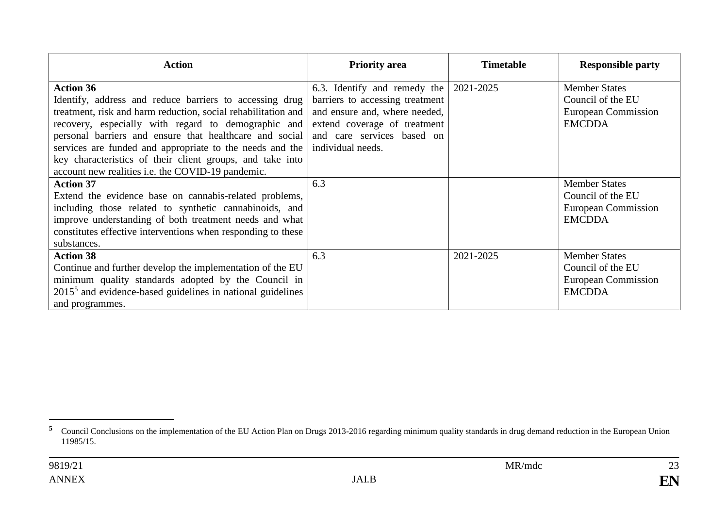| <b>Action</b>                                                                                                                                                                                                                                                                                                                                                                                                                                | <b>Priority area</b>                                                                                                                                                                | <b>Timetable</b> | <b>Responsible party</b>                                                          |
|----------------------------------------------------------------------------------------------------------------------------------------------------------------------------------------------------------------------------------------------------------------------------------------------------------------------------------------------------------------------------------------------------------------------------------------------|-------------------------------------------------------------------------------------------------------------------------------------------------------------------------------------|------------------|-----------------------------------------------------------------------------------|
| <b>Action 36</b><br>Identify, address and reduce barriers to accessing drug<br>treatment, risk and harm reduction, social rehabilitation and<br>recovery, especially with regard to demographic and<br>personal barriers and ensure that healthcare and social<br>services are funded and appropriate to the needs and the<br>key characteristics of their client groups, and take into<br>account new realities i.e. the COVID-19 pandemic. | 6.3. Identify and remedy the<br>barriers to accessing treatment<br>and ensure and, where needed,<br>extend coverage of treatment<br>and care services based on<br>individual needs. | 2021-2025        | <b>Member States</b><br>Council of the EU<br>European Commission<br><b>EMCDDA</b> |
| <b>Action 37</b><br>Extend the evidence base on cannabis-related problems,<br>including those related to synthetic cannabinoids, and<br>improve understanding of both treatment needs and what<br>constitutes effective interventions when responding to these<br>substances.                                                                                                                                                                | 6.3                                                                                                                                                                                 |                  | <b>Member States</b><br>Council of the EU<br>European Commission<br><b>EMCDDA</b> |
| <b>Action 38</b><br>Continue and further develop the implementation of the EU<br>minimum quality standards adopted by the Council in<br>$20155$ and evidence-based guidelines in national guidelines<br>and programmes.                                                                                                                                                                                                                      | 6.3                                                                                                                                                                                 | 2021-2025        | <b>Member States</b><br>Council of the EU<br>European Commission<br><b>EMCDDA</b> |

<sup>&</sup>lt;sup>5</sup> Council Conclusions on the implementation of the EU Action Plan on Drugs 2013-2016 regarding minimum quality standards in drug demand reduction in the European Union 11985/15.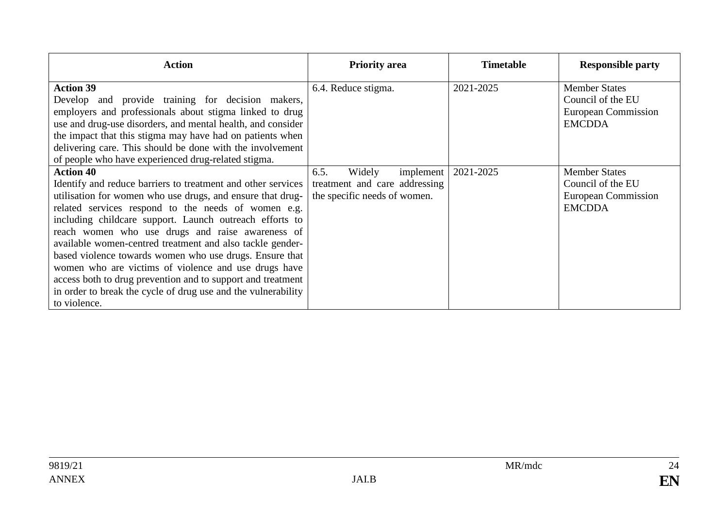| <b>Action</b>                                                                                                                                                                                                                                                                                                                                                                                                                                                                                                                                                                                                                                        | <b>Priority area</b>                                                                         | <b>Timetable</b> | <b>Responsible party</b>                                                          |
|------------------------------------------------------------------------------------------------------------------------------------------------------------------------------------------------------------------------------------------------------------------------------------------------------------------------------------------------------------------------------------------------------------------------------------------------------------------------------------------------------------------------------------------------------------------------------------------------------------------------------------------------------|----------------------------------------------------------------------------------------------|------------------|-----------------------------------------------------------------------------------|
| <b>Action 39</b><br>Develop and provide training for decision makers,<br>employers and professionals about stigma linked to drug<br>use and drug-use disorders, and mental health, and consider<br>the impact that this stigma may have had on patients when<br>delivering care. This should be done with the involvement<br>of people who have experienced drug-related stigma.                                                                                                                                                                                                                                                                     | 6.4. Reduce stigma.                                                                          | 2021-2025        | <b>Member States</b><br>Council of the EU<br>European Commission<br><b>EMCDDA</b> |
| <b>Action 40</b><br>Identify and reduce barriers to treatment and other services<br>utilisation for women who use drugs, and ensure that drug-<br>related services respond to the needs of women e.g.<br>including childcare support. Launch outreach efforts to<br>reach women who use drugs and raise awareness of<br>available women-centred treatment and also tackle gender-<br>based violence towards women who use drugs. Ensure that<br>women who are victims of violence and use drugs have<br>access both to drug prevention and to support and treatment<br>in order to break the cycle of drug use and the vulnerability<br>to violence. | 6.5.<br>Widely<br>implement<br>treatment and care addressing<br>the specific needs of women. | 2021-2025        | <b>Member States</b><br>Council of the EU<br>European Commission<br><b>EMCDDA</b> |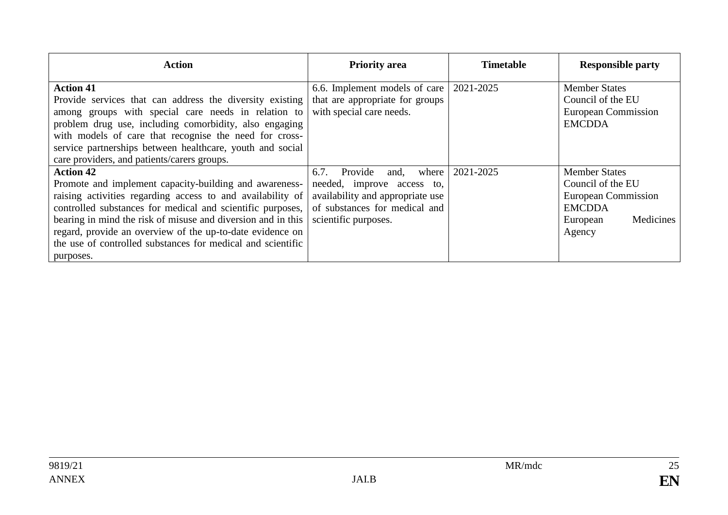| <b>Action</b>                                                                                                                                                                                                                                                                                                                                                                                                   | <b>Priority area</b>                                                                                                                                        | <b>Timetable</b> | <b>Responsible party</b>                                                                                                    |
|-----------------------------------------------------------------------------------------------------------------------------------------------------------------------------------------------------------------------------------------------------------------------------------------------------------------------------------------------------------------------------------------------------------------|-------------------------------------------------------------------------------------------------------------------------------------------------------------|------------------|-----------------------------------------------------------------------------------------------------------------------------|
| <b>Action 41</b><br>Provide services that can address the diversity existing<br>among groups with special care needs in relation to<br>problem drug use, including comorbidity, also engaging<br>with models of care that recognise the need for cross-<br>service partnerships between healthcare, youth and social<br>care providers, and patients/carers groups.                                             | 6.6. Implement models of care<br>that are appropriate for groups<br>with special care needs.                                                                | 2021-2025        | <b>Member States</b><br>Council of the EU<br><b>European Commission</b><br><b>EMCDDA</b>                                    |
| <b>Action 42</b><br>Promote and implement capacity-building and awareness-<br>raising activities regarding access to and availability of<br>controlled substances for medical and scientific purposes,<br>bearing in mind the risk of misuse and diversion and in this<br>regard, provide an overview of the up-to-date evidence on<br>the use of controlled substances for medical and scientific<br>purposes. | 6.7.<br>Provide<br>where<br>and,<br>needed, improve access to,<br>availability and appropriate use<br>of substances for medical and<br>scientific purposes. | 2021-2025        | <b>Member States</b><br>Council of the EU<br><b>European Commission</b><br><b>EMCDDA</b><br>Medicines<br>European<br>Agency |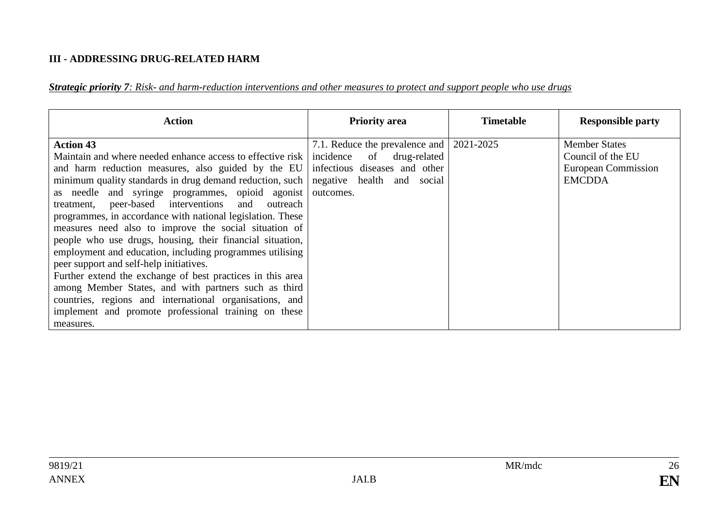#### **III - ADDRESSING DRUG-RELATED HARM**

*Strategic priority 7: Risk- and harm-reduction interventions and other measures to protect and support people who use drugs*

| <b>Action</b>                                                                                                                                                                                                                                                                                                                                                                                                                                                                                                                                                                                                                                                                                                                                                                                                                                                | <b>Priority area</b>                                                                                                                                 | <b>Timetable</b> | <b>Responsible party</b>                                                          |
|--------------------------------------------------------------------------------------------------------------------------------------------------------------------------------------------------------------------------------------------------------------------------------------------------------------------------------------------------------------------------------------------------------------------------------------------------------------------------------------------------------------------------------------------------------------------------------------------------------------------------------------------------------------------------------------------------------------------------------------------------------------------------------------------------------------------------------------------------------------|------------------------------------------------------------------------------------------------------------------------------------------------------|------------------|-----------------------------------------------------------------------------------|
| <b>Action 43</b><br>Maintain and where needed enhance access to effective risk<br>and harm reduction measures, also guided by the EU<br>minimum quality standards in drug demand reduction, such<br>as needle and syringe programmes, opioid agonist<br>treatment, peer-based interventions and<br>outreach<br>programmes, in accordance with national legislation. These<br>measures need also to improve the social situation of<br>people who use drugs, housing, their financial situation,<br>employment and education, including programmes utilising<br>peer support and self-help initiatives.<br>Further extend the exchange of best practices in this area<br>among Member States, and with partners such as third<br>countries, regions and international organisations, and<br>implement and promote professional training on these<br>measures. | 7.1. Reduce the prevalence and 2021-2025<br>incidence<br>of drug-related<br>infectious diseases and other<br>negative health and social<br>outcomes. |                  | <b>Member States</b><br>Council of the EU<br>European Commission<br><b>EMCDDA</b> |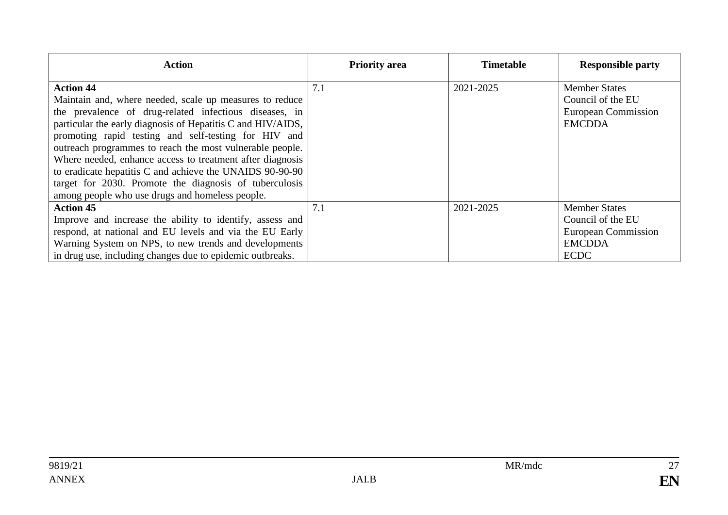| <b>Action</b>                                               | <b>Priority area</b> | <b>Timetable</b> | <b>Responsible party</b> |
|-------------------------------------------------------------|----------------------|------------------|--------------------------|
| <b>Action 44</b>                                            | 7.1                  | 2021-2025        | <b>Member States</b>     |
| Maintain and, where needed, scale up measures to reduce     |                      |                  | Council of the EU        |
| the prevalence of drug-related infectious diseases, in      |                      |                  | European Commission      |
| particular the early diagnosis of Hepatitis C and HIV/AIDS, |                      |                  | <b>EMCDDA</b>            |
| promoting rapid testing and self-testing for HIV and        |                      |                  |                          |
| outreach programmes to reach the most vulnerable people.    |                      |                  |                          |
| Where needed, enhance access to treatment after diagnosis   |                      |                  |                          |
| to eradicate hepatitis C and achieve the UNAIDS 90-90-90    |                      |                  |                          |
| target for 2030. Promote the diagnosis of tuberculosis      |                      |                  |                          |
| among people who use drugs and homeless people.             |                      |                  |                          |
| <b>Action 45</b>                                            | 7.1                  | 2021-2025        | <b>Member States</b>     |
| Improve and increase the ability to identify, assess and    |                      |                  | Council of the EU        |
| respond, at national and EU levels and via the EU Early     |                      |                  | European Commission      |
| Warning System on NPS, to new trends and developments       |                      |                  | <b>EMCDDA</b>            |
| in drug use, including changes due to epidemic outbreaks.   |                      |                  | <b>ECDC</b>              |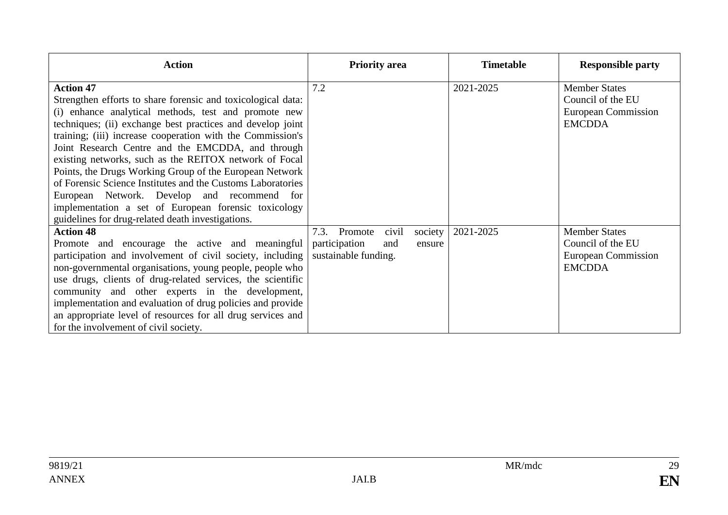| <b>Action</b>                                                                                                                                                                                                                                                                                                                                                                                                                                                                                                                                                                                                                                                             | <b>Priority area</b>                                                                          | <b>Timetable</b> | <b>Responsible party</b>                                                                 |
|---------------------------------------------------------------------------------------------------------------------------------------------------------------------------------------------------------------------------------------------------------------------------------------------------------------------------------------------------------------------------------------------------------------------------------------------------------------------------------------------------------------------------------------------------------------------------------------------------------------------------------------------------------------------------|-----------------------------------------------------------------------------------------------|------------------|------------------------------------------------------------------------------------------|
| <b>Action 47</b><br>Strengthen efforts to share forensic and toxicological data:<br>(i) enhance analytical methods, test and promote new<br>techniques; (ii) exchange best practices and develop joint<br>training; (iii) increase cooperation with the Commission's<br>Joint Research Centre and the EMCDDA, and through<br>existing networks, such as the REITOX network of Focal<br>Points, the Drugs Working Group of the European Network<br>of Forensic Science Institutes and the Customs Laboratories<br>European Network. Develop and recommend for<br>implementation a set of European forensic toxicology<br>guidelines for drug-related death investigations. | 7.2                                                                                           | 2021-2025        | <b>Member States</b><br>Council of the EU<br><b>European Commission</b><br><b>EMCDDA</b> |
| <b>Action 48</b><br>Promote and encourage the active and meaningful<br>participation and involvement of civil society, including<br>non-governmental organisations, young people, people who<br>use drugs, clients of drug-related services, the scientific<br>community and other experts in the development,<br>implementation and evaluation of drug policies and provide<br>an appropriate level of resources for all drug services and<br>for the involvement of civil society.                                                                                                                                                                                      | Promote<br>civil<br>society<br>7.3.<br>participation<br>and<br>ensure<br>sustainable funding. | 2021-2025        | <b>Member States</b><br>Council of the EU<br><b>European Commission</b><br><b>EMCDDA</b> |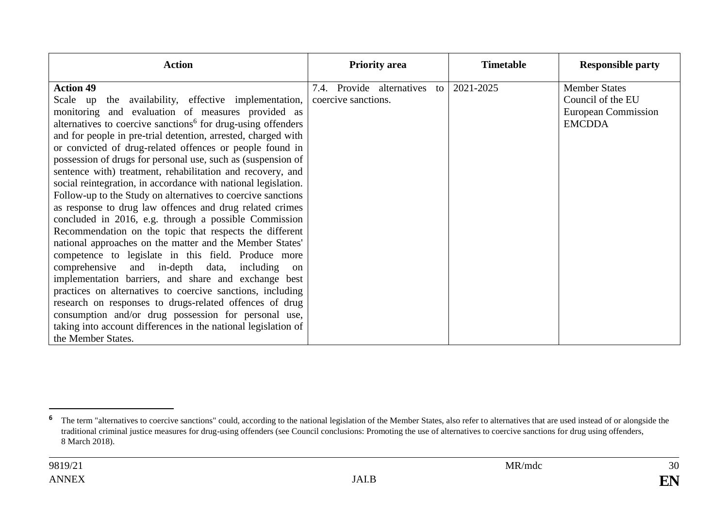| <b>Action</b>                                                                                                                                                                                                                                                                                                                                                                                                                                                                                                                                                                                                                                                                                                                                                                                                                                                                                                                 | <b>Priority area</b>         | <b>Timetable</b> | <b>Responsible party</b>                                                          |
|-------------------------------------------------------------------------------------------------------------------------------------------------------------------------------------------------------------------------------------------------------------------------------------------------------------------------------------------------------------------------------------------------------------------------------------------------------------------------------------------------------------------------------------------------------------------------------------------------------------------------------------------------------------------------------------------------------------------------------------------------------------------------------------------------------------------------------------------------------------------------------------------------------------------------------|------------------------------|------------------|-----------------------------------------------------------------------------------|
| <b>Action 49</b><br>Scale up the availability, effective implementation, coercive sanctions.<br>monitoring and evaluation of measures provided as<br>alternatives to coercive sanctions <sup>6</sup> for drug-using offenders<br>and for people in pre-trial detention, arrested, charged with<br>or convicted of drug-related offences or people found in<br>possession of drugs for personal use, such as (suspension of<br>sentence with) treatment, rehabilitation and recovery, and<br>social reintegration, in accordance with national legislation.<br>Follow-up to the Study on alternatives to coercive sanctions<br>as response to drug law offences and drug related crimes<br>concluded in 2016, e.g. through a possible Commission<br>Recommendation on the topic that respects the different<br>national approaches on the matter and the Member States'<br>competence to legislate in this field. Produce more | 7.4. Provide alternatives to | 2021-2025        | <b>Member States</b><br>Council of the EU<br>European Commission<br><b>EMCDDA</b> |
| comprehensive and in-depth data, including<br>on<br>implementation barriers, and share and exchange best<br>practices on alternatives to coercive sanctions, including<br>research on responses to drugs-related offences of drug<br>consumption and/or drug possession for personal use,<br>taking into account differences in the national legislation of<br>the Member States.                                                                                                                                                                                                                                                                                                                                                                                                                                                                                                                                             |                              |                  |                                                                                   |

<sup>&</sup>lt;sup>6</sup> The term "alternatives to coercive sanctions" could, according to the national legislation of the Member States, also refer to alternatives that are used instead of or alongside the traditional criminal justice measures for drug-using offenders (see Council conclusions: Promoting the use of alternatives to coercive sanctions for drug using offenders, 8 March 2018).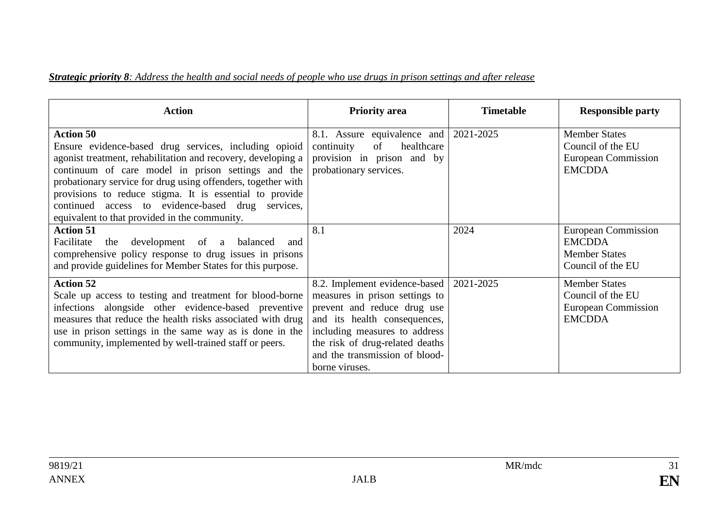#### *Strategic priority 8: Address the health and social needs of people who use drugs in prison settings and after release*

| <b>Action</b>                                                                                                                                                                                                                                                                                                                                                                                                                    | <b>Priority area</b>                                                                                                                                                                                                                                   | <b>Timetable</b> | <b>Responsible party</b>                                                          |
|----------------------------------------------------------------------------------------------------------------------------------------------------------------------------------------------------------------------------------------------------------------------------------------------------------------------------------------------------------------------------------------------------------------------------------|--------------------------------------------------------------------------------------------------------------------------------------------------------------------------------------------------------------------------------------------------------|------------------|-----------------------------------------------------------------------------------|
| <b>Action 50</b><br>Ensure evidence-based drug services, including opioid<br>agonist treatment, rehabilitation and recovery, developing a<br>continuum of care model in prison settings and the<br>probationary service for drug using offenders, together with<br>provisions to reduce stigma. It is essential to provide<br>continued access to evidence-based drug services,<br>equivalent to that provided in the community. | 8.1. Assure equivalence and 2021-2025<br>healthcare<br>continuity<br>of<br>provision in prison and by<br>probationary services.                                                                                                                        |                  | <b>Member States</b><br>Council of the EU<br>European Commission<br><b>EMCDDA</b> |
| <b>Action 51</b><br>Facilitate<br>development of<br>the<br>a balanced<br>and<br>comprehensive policy response to drug issues in prisons<br>and provide guidelines for Member States for this purpose.                                                                                                                                                                                                                            | 8.1                                                                                                                                                                                                                                                    | 2024             | European Commission<br><b>EMCDDA</b><br><b>Member States</b><br>Council of the EU |
| <b>Action 52</b><br>Scale up access to testing and treatment for blood-borne<br>infections alongside other evidence-based preventive<br>measures that reduce the health risks associated with drug<br>use in prison settings in the same way as is done in the<br>community, implemented by well-trained staff or peers.                                                                                                         | 8.2. Implement evidence-based<br>measures in prison settings to<br>prevent and reduce drug use<br>and its health consequences,<br>including measures to address<br>the risk of drug-related deaths<br>and the transmission of blood-<br>borne viruses. | 2021-2025        | <b>Member States</b><br>Council of the EU<br>European Commission<br><b>EMCDDA</b> |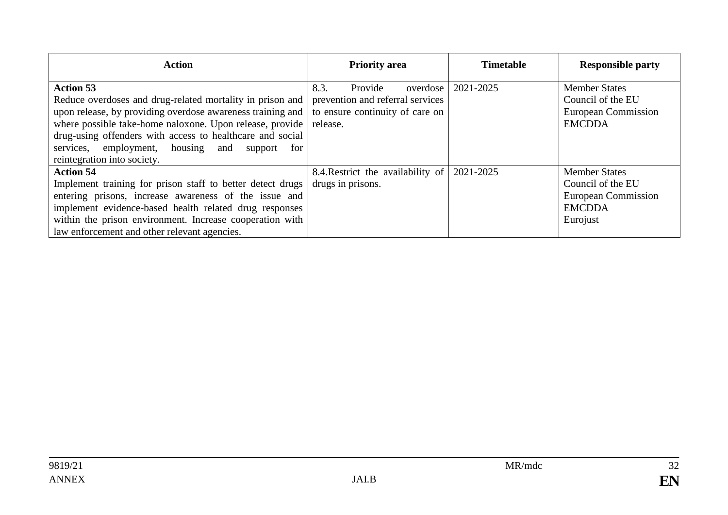| <b>Action</b>                                                                                                                                                                                                                                                                                                                                              | <b>Priority</b> area                                                                                           | <b>Timetable</b> | <b>Responsible party</b>                                                                             |
|------------------------------------------------------------------------------------------------------------------------------------------------------------------------------------------------------------------------------------------------------------------------------------------------------------------------------------------------------------|----------------------------------------------------------------------------------------------------------------|------------------|------------------------------------------------------------------------------------------------------|
| <b>Action 53</b><br>Reduce overdoses and drug-related mortality in prison and<br>upon release, by providing overdose awareness training and<br>where possible take-home naloxone. Upon release, provide<br>drug-using offenders with access to healthcare and social<br>services, employment, housing and<br>support<br>for<br>reintegration into society. | 8.3.<br>Provide<br>overdose<br>prevention and referral services<br>to ensure continuity of care on<br>release. | 2021-2025        | <b>Member States</b><br>Council of the EU<br><b>European Commission</b><br><b>EMCDDA</b>             |
| <b>Action 54</b><br>Implement training for prison staff to better detect drugs<br>entering prisons, increase awareness of the issue and<br>implement evidence-based health related drug responses<br>within the prison environment. Increase cooperation with<br>law enforcement and other relevant agencies.                                              | 8.4. Restrict the availability of<br>drugs in prisons.                                                         | 2021-2025        | <b>Member States</b><br>Council of the EU<br><b>European Commission</b><br><b>EMCDDA</b><br>Eurojust |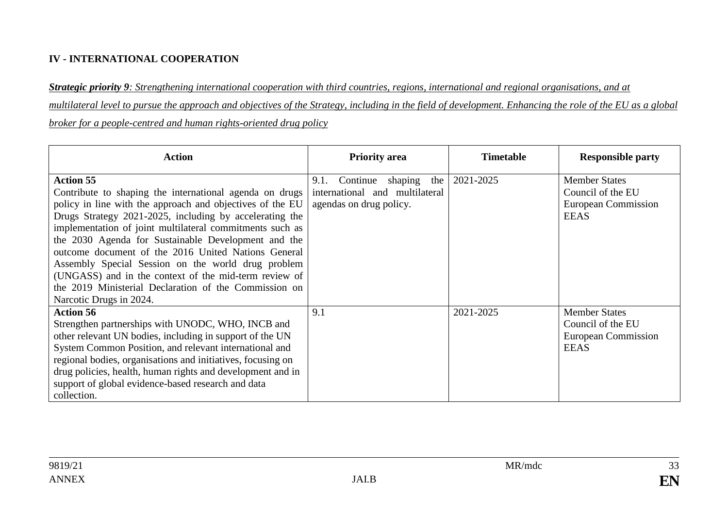#### **IV - INTERNATIONAL COOPERATION**

*Strategic priority 9: Strengthening international cooperation with third countries, regions, international and regional organisations, and at multilateral level to pursue the approach and objectives of the Strategy, including in the field of development. Enhancing the role of the EU as a global broker for a people-centred and human rights-oriented drug policy*

| <b>Action</b>                                                                                                                                                                                                                                                                                                                                                                                                                                                                                                                                                                    | <b>Priority area</b>                                                                            | <b>Timetable</b> | <b>Responsible party</b>                                                        |
|----------------------------------------------------------------------------------------------------------------------------------------------------------------------------------------------------------------------------------------------------------------------------------------------------------------------------------------------------------------------------------------------------------------------------------------------------------------------------------------------------------------------------------------------------------------------------------|-------------------------------------------------------------------------------------------------|------------------|---------------------------------------------------------------------------------|
| <b>Action 55</b><br>Contribute to shaping the international agenda on drugs<br>policy in line with the approach and objectives of the EU<br>Drugs Strategy 2021-2025, including by accelerating the<br>implementation of joint multilateral commitments such as<br>the 2030 Agenda for Sustainable Development and the<br>outcome document of the 2016 United Nations General<br>Assembly Special Session on the world drug problem<br>(UNGASS) and in the context of the mid-term review of<br>the 2019 Ministerial Declaration of the Commission on<br>Narcotic Drugs in 2024. | the<br>9.1.<br>Continue<br>shaping<br>international and multilateral<br>agendas on drug policy. | 2021-2025        | <b>Member States</b><br>Council of the EU<br>European Commission<br><b>EEAS</b> |
| <b>Action 56</b><br>Strengthen partnerships with UNODC, WHO, INCB and<br>other relevant UN bodies, including in support of the UN<br>System Common Position, and relevant international and<br>regional bodies, organisations and initiatives, focusing on<br>drug policies, health, human rights and development and in<br>support of global evidence-based research and data<br>collection.                                                                                                                                                                                    | 9.1                                                                                             | 2021-2025        | <b>Member States</b><br>Council of the EU<br>European Commission<br><b>EEAS</b> |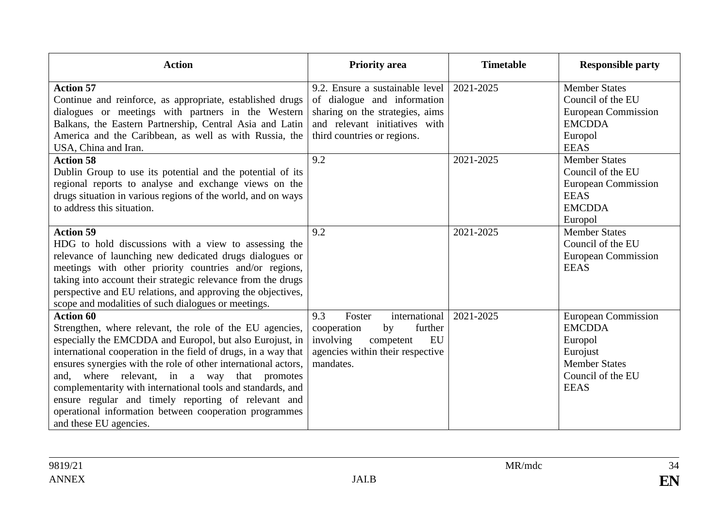| <b>Action</b>                                                                                                                                                                                                                                                                                                                                                                                                                                                                                                                               | <b>Priority area</b>                                                                                                                                              | <b>Timetable</b> | <b>Responsible party</b>                                                                                                       |
|---------------------------------------------------------------------------------------------------------------------------------------------------------------------------------------------------------------------------------------------------------------------------------------------------------------------------------------------------------------------------------------------------------------------------------------------------------------------------------------------------------------------------------------------|-------------------------------------------------------------------------------------------------------------------------------------------------------------------|------------------|--------------------------------------------------------------------------------------------------------------------------------|
| <b>Action 57</b><br>Continue and reinforce, as appropriate, established drugs<br>dialogues or meetings with partners in the Western<br>Balkans, the Eastern Partnership, Central Asia and Latin<br>America and the Caribbean, as well as with Russia, the<br>USA, China and Iran.                                                                                                                                                                                                                                                           | 9.2. Ensure a sustainable level<br>of dialogue and information<br>sharing on the strategies, aims<br>and relevant initiatives with<br>third countries or regions. | 2021-2025        | <b>Member States</b><br>Council of the EU<br><b>European Commission</b><br><b>EMCDDA</b><br>Europol<br><b>EEAS</b>             |
| <b>Action 58</b><br>Dublin Group to use its potential and the potential of its<br>regional reports to analyse and exchange views on the<br>drugs situation in various regions of the world, and on ways<br>to address this situation.                                                                                                                                                                                                                                                                                                       | 9.2                                                                                                                                                               | 2021-2025        | <b>Member States</b><br>Council of the EU<br><b>European Commission</b><br><b>EEAS</b><br><b>EMCDDA</b><br>Europol             |
| <b>Action 59</b><br>HDG to hold discussions with a view to assessing the<br>relevance of launching new dedicated drugs dialogues or<br>meetings with other priority countries and/or regions,<br>taking into account their strategic relevance from the drugs<br>perspective and EU relations, and approving the objectives,<br>scope and modalities of such dialogues or meetings.                                                                                                                                                         | 9.2                                                                                                                                                               | 2021-2025        | <b>Member States</b><br>Council of the EU<br><b>European Commission</b><br><b>EEAS</b>                                         |
| <b>Action 60</b><br>Strengthen, where relevant, the role of the EU agencies,<br>especially the EMCDDA and Europol, but also Eurojust, in<br>international cooperation in the field of drugs, in a way that<br>ensures synergies with the role of other international actors,<br>where relevant, in a way<br>that promotes<br>and.<br>complementarity with international tools and standards, and<br>ensure regular and timely reporting of relevant and<br>operational information between cooperation programmes<br>and these EU agencies. | international<br>9.3<br>Foster<br>further<br>cooperation<br>by<br>involving<br>EU<br>competent<br>agencies within their respective<br>mandates.                   | 2021-2025        | <b>European Commission</b><br><b>EMCDDA</b><br>Europol<br>Eurojust<br><b>Member States</b><br>Council of the EU<br><b>EEAS</b> |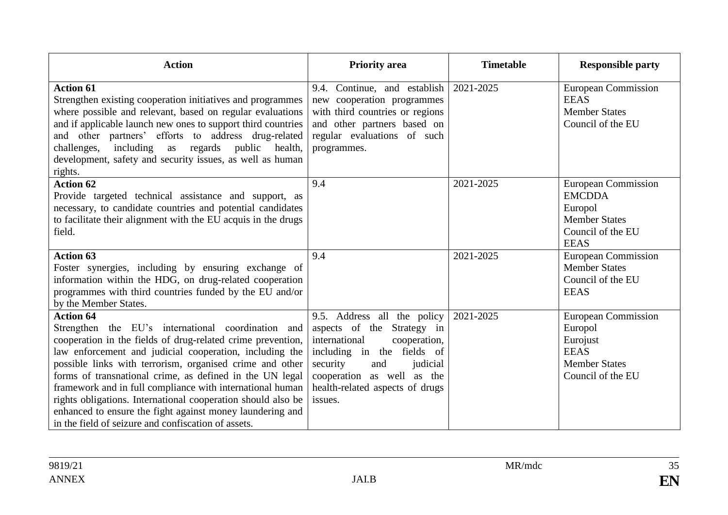| <b>Action</b>                                                                                                                                                                                                                                                                                                                                                                                                                                                                                                                                                             | <b>Priority</b> area                                                                                                                                                                                                                | <b>Timetable</b> | <b>Responsible party</b>                                                                                           |
|---------------------------------------------------------------------------------------------------------------------------------------------------------------------------------------------------------------------------------------------------------------------------------------------------------------------------------------------------------------------------------------------------------------------------------------------------------------------------------------------------------------------------------------------------------------------------|-------------------------------------------------------------------------------------------------------------------------------------------------------------------------------------------------------------------------------------|------------------|--------------------------------------------------------------------------------------------------------------------|
| <b>Action 61</b><br>Strengthen existing cooperation initiatives and programmes<br>where possible and relevant, based on regular evaluations<br>and if applicable launch new ones to support third countries<br>and other partners' efforts to address drug-related<br>challenges,<br>including as regards public<br>health,<br>development, safety and security issues, as well as human<br>rights.                                                                                                                                                                       | 9.4. Continue, and establish<br>new cooperation programmes<br>with third countries or regions<br>and other partners based on<br>regular evaluations of such<br>programmes.                                                          | 2021-2025        | <b>European Commission</b><br><b>EEAS</b><br><b>Member States</b><br>Council of the EU                             |
| <b>Action 62</b><br>Provide targeted technical assistance and support, as<br>necessary, to candidate countries and potential candidates<br>to facilitate their alignment with the EU acquis in the drugs<br>field.                                                                                                                                                                                                                                                                                                                                                        | 9.4                                                                                                                                                                                                                                 | 2021-2025        | <b>European Commission</b><br><b>EMCDDA</b><br>Europol<br><b>Member States</b><br>Council of the EU<br><b>EEAS</b> |
| <b>Action 63</b><br>Foster synergies, including by ensuring exchange of<br>information within the HDG, on drug-related cooperation<br>programmes with third countries funded by the EU and/or<br>by the Member States.                                                                                                                                                                                                                                                                                                                                                    | 9.4                                                                                                                                                                                                                                 | 2021-2025        | <b>European Commission</b><br><b>Member States</b><br>Council of the EU<br><b>EEAS</b>                             |
| <b>Action 64</b><br>Strengthen the EU's international coordination and<br>cooperation in the fields of drug-related crime prevention,<br>law enforcement and judicial cooperation, including the<br>possible links with terrorism, organised crime and other<br>forms of transnational crime, as defined in the UN legal<br>framework and in full compliance with international human<br>rights obligations. International cooperation should also be<br>enhanced to ensure the fight against money laundering and<br>in the field of seizure and confiscation of assets. | 9.5. Address all the policy<br>aspects of the Strategy in<br>international<br>cooperation,<br>including in the fields of<br>and<br>security<br>judicial<br>cooperation as well as the<br>health-related aspects of drugs<br>issues. | 2021-2025        | <b>European Commission</b><br>Europol<br>Eurojust<br><b>EEAS</b><br><b>Member States</b><br>Council of the EU      |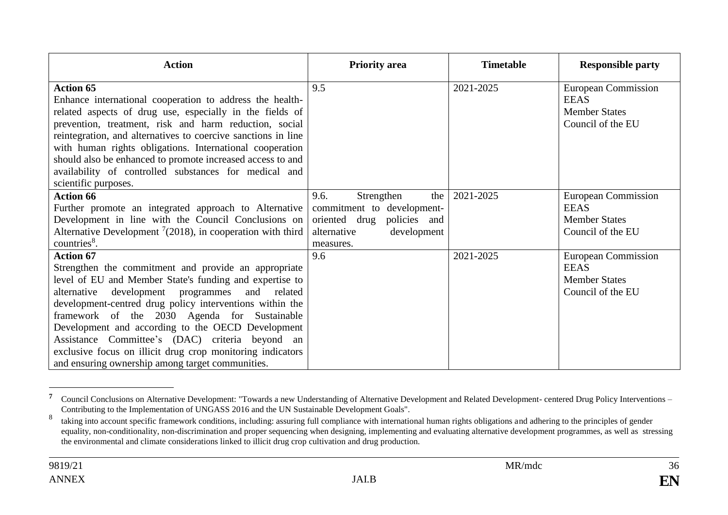| <b>Action</b>                                                                                                                                                                                                                                                                                                                                                                                                                                                                                                               | <b>Priority area</b>                                                                                                                | <b>Timetable</b> | <b>Responsible party</b>                                                               |
|-----------------------------------------------------------------------------------------------------------------------------------------------------------------------------------------------------------------------------------------------------------------------------------------------------------------------------------------------------------------------------------------------------------------------------------------------------------------------------------------------------------------------------|-------------------------------------------------------------------------------------------------------------------------------------|------------------|----------------------------------------------------------------------------------------|
| <b>Action 65</b><br>Enhance international cooperation to address the health-<br>related aspects of drug use, especially in the fields of<br>prevention, treatment, risk and harm reduction, social<br>reintegration, and alternatives to coercive sanctions in line<br>with human rights obligations. International cooperation<br>should also be enhanced to promote increased access to and<br>availability of controlled substances for medical and<br>scientific purposes.                                              | 9.5                                                                                                                                 | 2021-2025        | <b>European Commission</b><br><b>EEAS</b><br><b>Member States</b><br>Council of the EU |
| <b>Action 66</b><br>Further promote an integrated approach to Alternative<br>Development in line with the Council Conclusions on<br>Alternative Development $\frac{7}{2018}$ , in cooperation with third<br>countries <sup>8</sup> .                                                                                                                                                                                                                                                                                        | 9.6.<br>Strengthen<br>the<br>commitment to development-<br>oriented drug<br>policies and<br>alternative<br>development<br>measures. | 2021-2025        | <b>European Commission</b><br><b>EEAS</b><br><b>Member States</b><br>Council of the EU |
| <b>Action 67</b><br>Strengthen the commitment and provide an appropriate<br>level of EU and Member State's funding and expertise to<br>alternative development programmes and related<br>development-centred drug policy interventions within the<br>framework of the 2030 Agenda for Sustainable<br>Development and according to the OECD Development<br>Assistance Committee's (DAC) criteria beyond an<br>exclusive focus on illicit drug crop monitoring indicators<br>and ensuring ownership among target communities. | 9.6                                                                                                                                 | 2021-2025        | <b>European Commission</b><br><b>EEAS</b><br><b>Member States</b><br>Council of the EU |

**<sup>7</sup>** Council Conclusions on Alternative Development: "Towards a new Understanding of Alternative Development and Related Development- centered Drug Policy Interventions – Contributing to the Implementation of UNGASS 2016 and the UN Sustainable Development Goals".

<sup>8</sup> taking into account specific framework conditions, including: assuring full compliance with international human rights obligations and adhering to the principles of gender equality, non-conditionality, non-discrimination and proper sequencing when designing, implementing and evaluating alternative development programmes, as well as stressing the environmental and climate considerations linked to illicit drug crop cultivation and drug production.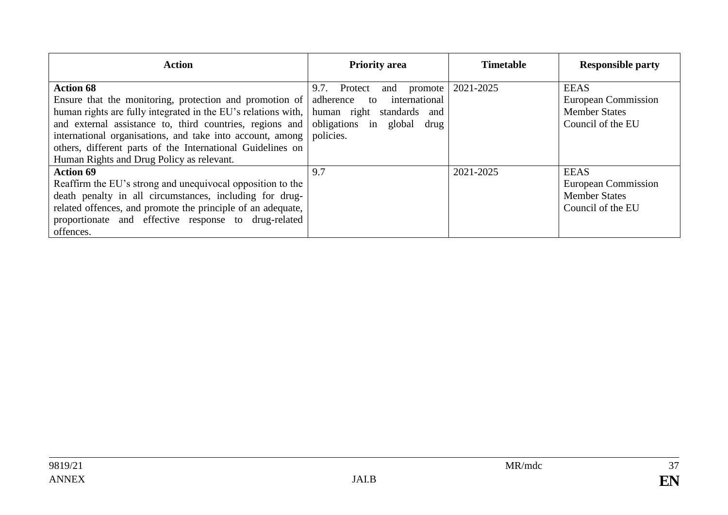| <b>Action</b>                                                                                                                                                                                                                                                                                                                                                                    | <b>Priority</b> area                                                                                                                             | <b>Timetable</b> | <b>Responsible party</b>                                                        |
|----------------------------------------------------------------------------------------------------------------------------------------------------------------------------------------------------------------------------------------------------------------------------------------------------------------------------------------------------------------------------------|--------------------------------------------------------------------------------------------------------------------------------------------------|------------------|---------------------------------------------------------------------------------|
| <b>Action 68</b><br>Ensure that the monitoring, protection and promotion of<br>human rights are fully integrated in the EU's relations with,<br>and external assistance to, third countries, regions and<br>international organisations, and take into account, among<br>others, different parts of the International Guidelines on<br>Human Rights and Drug Policy as relevant. | 9.7. Protect<br>and promote<br>international<br>adherence<br>to<br>human right standards<br>and<br>obligations in<br>global<br>drug<br>policies. | 2021-2025        | <b>EEAS</b><br>European Commission<br><b>Member States</b><br>Council of the EU |
| <b>Action 69</b><br>Reaffirm the EU's strong and unequivocal opposition to the<br>death penalty in all circumstances, including for drug-<br>related offences, and promote the principle of an adequate,<br>proportionate and effective response to drug-related<br>offences.                                                                                                    | 9.7                                                                                                                                              | 2021-2025        | <b>EEAS</b><br>European Commission<br><b>Member States</b><br>Council of the EU |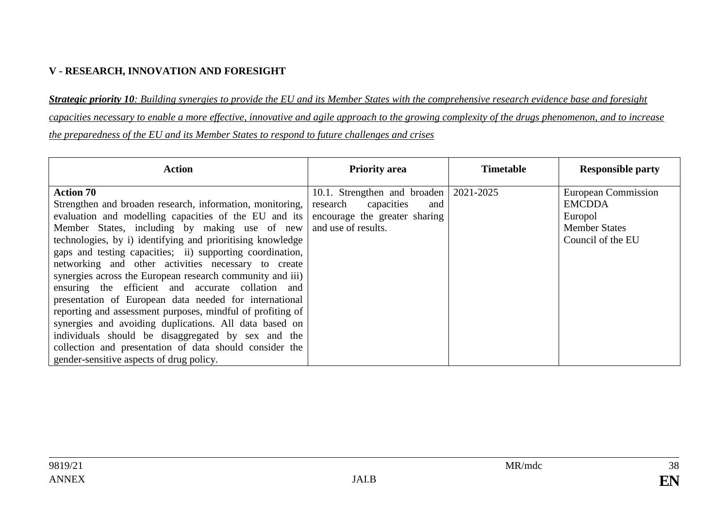#### **V - RESEARCH, INNOVATION AND FORESIGHT**

*Strategic priority 10: Building synergies to provide the EU and its Member States with the comprehensive research evidence base and foresight capacities necessary to enable a more effective, innovative and agile approach to the growing complexity of the drugs phenomenon, and to increase the preparedness of the EU and its Member States to respond to future challenges and crises*

| <b>Action</b>                                                                                                                                                                                                                                                                                                                                                                                                                                                                                                                                                                                                                                                                                                                                                                                                                              | <b>Priority area</b>                                                                                                              | <b>Timetable</b> | <b>Responsible party</b>                                                                            |
|--------------------------------------------------------------------------------------------------------------------------------------------------------------------------------------------------------------------------------------------------------------------------------------------------------------------------------------------------------------------------------------------------------------------------------------------------------------------------------------------------------------------------------------------------------------------------------------------------------------------------------------------------------------------------------------------------------------------------------------------------------------------------------------------------------------------------------------------|-----------------------------------------------------------------------------------------------------------------------------------|------------------|-----------------------------------------------------------------------------------------------------|
| <b>Action 70</b><br>Strengthen and broaden research, information, monitoring,<br>evaluation and modelling capacities of the EU and its<br>Member States, including by making use of new<br>technologies, by i) identifying and prioritising knowledge<br>gaps and testing capacities; ii) supporting coordination,<br>networking and other activities necessary to create<br>synergies across the European research community and iii)<br>ensuring the efficient and accurate collation and<br>presentation of European data needed for international<br>reporting and assessment purposes, mindful of profiting of<br>synergies and avoiding duplications. All data based on<br>individuals should be disaggregated by sex and the<br>collection and presentation of data should consider the<br>gender-sensitive aspects of drug policy. | 10.1. Strengthen and broaden   2021-2025<br>capacities<br>research<br>and<br>encourage the greater sharing<br>and use of results. |                  | <b>European Commission</b><br><b>EMCDDA</b><br>Europol<br><b>Member States</b><br>Council of the EU |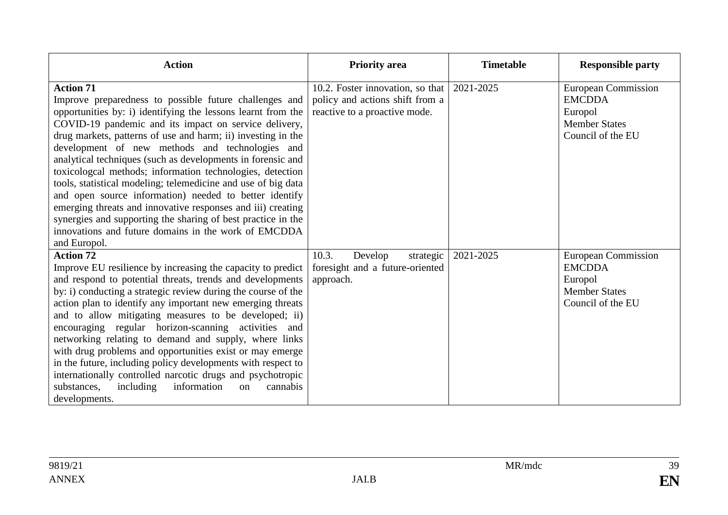| <b>Action</b>                                                                                                                                                                                                                                                                                                                                                                                                                                                                                                                                                                                                                                                                                                                                                                        | <b>Priority</b> area                                                                                 | <b>Timetable</b> | <b>Responsible party</b>                                                                            |
|--------------------------------------------------------------------------------------------------------------------------------------------------------------------------------------------------------------------------------------------------------------------------------------------------------------------------------------------------------------------------------------------------------------------------------------------------------------------------------------------------------------------------------------------------------------------------------------------------------------------------------------------------------------------------------------------------------------------------------------------------------------------------------------|------------------------------------------------------------------------------------------------------|------------------|-----------------------------------------------------------------------------------------------------|
| <b>Action 71</b><br>Improve preparedness to possible future challenges and<br>opportunities by: i) identifying the lessons learnt from the<br>COVID-19 pandemic and its impact on service delivery,<br>drug markets, patterns of use and harm; ii) investing in the<br>development of new methods and technologies and<br>analytical techniques (such as developments in forensic and<br>toxicologial methods; information technologies, detection<br>tools, statistical modeling; telemedicine and use of big data<br>and open source information) needed to better identify<br>emerging threats and innovative responses and iii) creating<br>synergies and supporting the sharing of best practice in the<br>innovations and future domains in the work of EMCDDA<br>and Europol. | 10.2. Foster innovation, so that<br>policy and actions shift from a<br>reactive to a proactive mode. | 2021-2025        | <b>European Commission</b><br><b>EMCDDA</b><br>Europol<br><b>Member States</b><br>Council of the EU |
| <b>Action 72</b><br>Improve EU resilience by increasing the capacity to predict<br>and respond to potential threats, trends and developments<br>by: i) conducting a strategic review during the course of the<br>action plan to identify any important new emerging threats<br>and to allow mitigating measures to be developed; ii)<br>encouraging regular horizon-scanning activities and<br>networking relating to demand and supply, where links<br>with drug problems and opportunities exist or may emerge<br>in the future, including policy developments with respect to<br>internationally controlled narcotic drugs and psychotropic<br>information<br>substances,<br>including<br>cannabis<br>on<br>developments.                                                         | 10.3.<br>Develop<br>strategic<br>foresight and a future-oriented<br>approach.                        | 2021-2025        | <b>European Commission</b><br><b>EMCDDA</b><br>Europol<br><b>Member States</b><br>Council of the EU |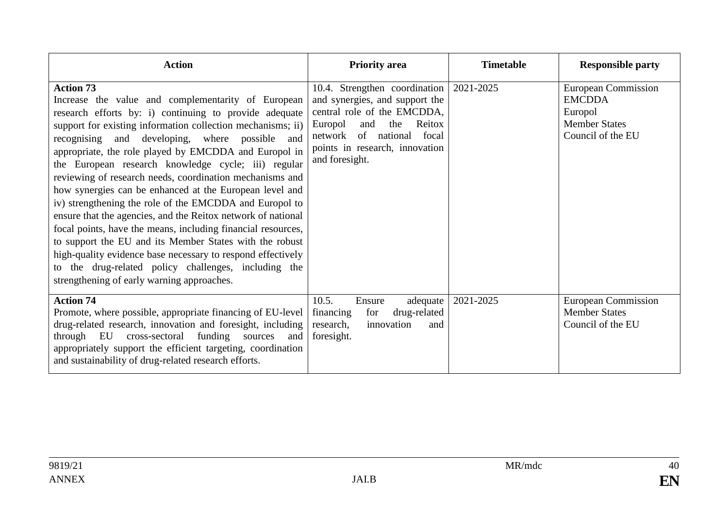| <b>Action</b>                                                                                                                                                                                                                                                                                                                                                                                                                                                                                                                                                                                                                                                                                                                                                                                                                                                                                                          | <b>Priority area</b>                                                                                                                                                                                                              | <b>Timetable</b> | <b>Responsible party</b>                                                                            |
|------------------------------------------------------------------------------------------------------------------------------------------------------------------------------------------------------------------------------------------------------------------------------------------------------------------------------------------------------------------------------------------------------------------------------------------------------------------------------------------------------------------------------------------------------------------------------------------------------------------------------------------------------------------------------------------------------------------------------------------------------------------------------------------------------------------------------------------------------------------------------------------------------------------------|-----------------------------------------------------------------------------------------------------------------------------------------------------------------------------------------------------------------------------------|------------------|-----------------------------------------------------------------------------------------------------|
| <b>Action 73</b><br>Increase the value and complementarity of European<br>research efforts by: i) continuing to provide adequate<br>support for existing information collection mechanisms; ii)<br>recognising and developing, where possible and<br>appropriate, the role played by EMCDDA and Europol in<br>the European research knowledge cycle; iii) regular<br>reviewing of research needs, coordination mechanisms and<br>how synergies can be enhanced at the European level and<br>iv) strengthening the role of the EMCDDA and Europol to<br>ensure that the agencies, and the Reitox network of national<br>focal points, have the means, including financial resources,<br>to support the EU and its Member States with the robust<br>high-quality evidence base necessary to respond effectively<br>the drug-related policy challenges, including the<br>to<br>strengthening of early warning approaches. | 10.4. Strengthen coordination   2021-2025<br>and synergies, and support the<br>central role of the EMCDDA,<br>Reitox<br>Europol<br>and<br>the<br>network of national<br>focal<br>points in research, innovation<br>and foresight. |                  | <b>European Commission</b><br><b>EMCDDA</b><br>Europol<br><b>Member States</b><br>Council of the EU |
| <b>Action 74</b><br>Promote, where possible, appropriate financing of EU-level<br>drug-related research, innovation and foresight, including<br>funding<br>through EU<br>cross-sectoral<br>sources<br>and<br>appropriately support the efficient targeting, coordination<br>and sustainability of drug-related research efforts.                                                                                                                                                                                                                                                                                                                                                                                                                                                                                                                                                                                       | 10.5.<br>Ensure<br>adequate<br>drug-related<br>for<br>financing<br>research,<br>innovation<br>and<br>foresight.                                                                                                                   | 2021-2025        | <b>European Commission</b><br><b>Member States</b><br>Council of the EU                             |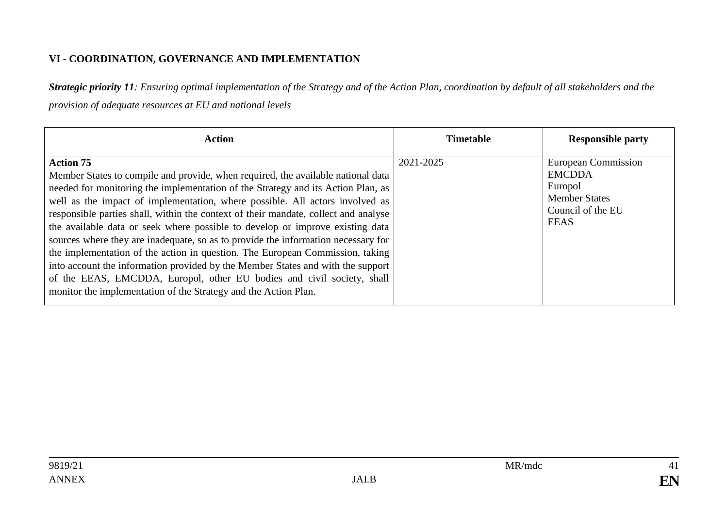#### **VI - COORDINATION, GOVERNANCE AND IMPLEMENTATION**

*Strategic priority 11: Ensuring optimal implementation of the Strategy and of the Action Plan, coordination by default of all stakeholders and the provision of adequate resources at EU and national levels* 

| <b>Action</b>                                                                                                                                                                                                                                                                                                                                                                                                                                                                                                                                                                                                                                                                                                                                                                                                                                          | <b>Timetable</b> | <b>Responsible party</b>                                                                                           |
|--------------------------------------------------------------------------------------------------------------------------------------------------------------------------------------------------------------------------------------------------------------------------------------------------------------------------------------------------------------------------------------------------------------------------------------------------------------------------------------------------------------------------------------------------------------------------------------------------------------------------------------------------------------------------------------------------------------------------------------------------------------------------------------------------------------------------------------------------------|------------------|--------------------------------------------------------------------------------------------------------------------|
| <b>Action 75</b><br>Member States to compile and provide, when required, the available national data<br>needed for monitoring the implementation of the Strategy and its Action Plan, as<br>well as the impact of implementation, where possible. All actors involved as<br>responsible parties shall, within the context of their mandate, collect and analyse<br>the available data or seek where possible to develop or improve existing data<br>sources where they are inadequate, so as to provide the information necessary for<br>the implementation of the action in question. The European Commission, taking<br>into account the information provided by the Member States and with the support<br>of the EEAS, EMCDDA, Europol, other EU bodies and civil society, shall<br>monitor the implementation of the Strategy and the Action Plan. | 2021-2025        | <b>European Commission</b><br><b>EMCDDA</b><br>Europol<br><b>Member States</b><br>Council of the EU<br><b>EEAS</b> |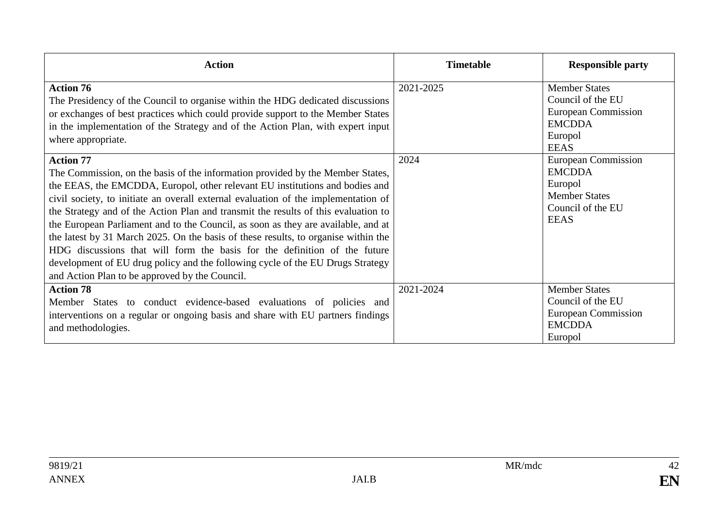| <b>Action</b>                                                                                                                                                                                                                                                                                                                                                                                                                                                                                                                                                                                                                                                                                                                                                                                                                                                                                                                                                                                                                                                | <b>Timetable</b>  | <b>Responsible party</b>                                                                                                                                                                                                                 |
|--------------------------------------------------------------------------------------------------------------------------------------------------------------------------------------------------------------------------------------------------------------------------------------------------------------------------------------------------------------------------------------------------------------------------------------------------------------------------------------------------------------------------------------------------------------------------------------------------------------------------------------------------------------------------------------------------------------------------------------------------------------------------------------------------------------------------------------------------------------------------------------------------------------------------------------------------------------------------------------------------------------------------------------------------------------|-------------------|------------------------------------------------------------------------------------------------------------------------------------------------------------------------------------------------------------------------------------------|
| <b>Action 76</b><br>The Presidency of the Council to organise within the HDG dedicated discussions<br>or exchanges of best practices which could provide support to the Member States<br>in the implementation of the Strategy and of the Action Plan, with expert input<br>where appropriate.<br><b>Action 77</b><br>The Commission, on the basis of the information provided by the Member States,<br>the EEAS, the EMCDDA, Europol, other relevant EU institutions and bodies and<br>civil society, to initiate an overall external evaluation of the implementation of<br>the Strategy and of the Action Plan and transmit the results of this evaluation to<br>the European Parliament and to the Council, as soon as they are available, and at<br>the latest by 31 March 2025. On the basis of these results, to organise within the<br>HDG discussions that will form the basis for the definition of the future<br>development of EU drug policy and the following cycle of the EU Drugs Strategy<br>and Action Plan to be approved by the Council. | 2021-2025<br>2024 | <b>Member States</b><br>Council of the EU<br><b>European Commission</b><br><b>EMCDDA</b><br>Europol<br><b>EEAS</b><br><b>European Commission</b><br><b>EMCDDA</b><br>Europol<br><b>Member States</b><br>Council of the EU<br><b>EEAS</b> |
| <b>Action 78</b><br>Member States to conduct evidence-based evaluations of policies and<br>interventions on a regular or ongoing basis and share with EU partners findings<br>and methodologies.                                                                                                                                                                                                                                                                                                                                                                                                                                                                                                                                                                                                                                                                                                                                                                                                                                                             | 2021-2024         | <b>Member States</b><br>Council of the EU<br>European Commission<br><b>EMCDDA</b><br>Europol                                                                                                                                             |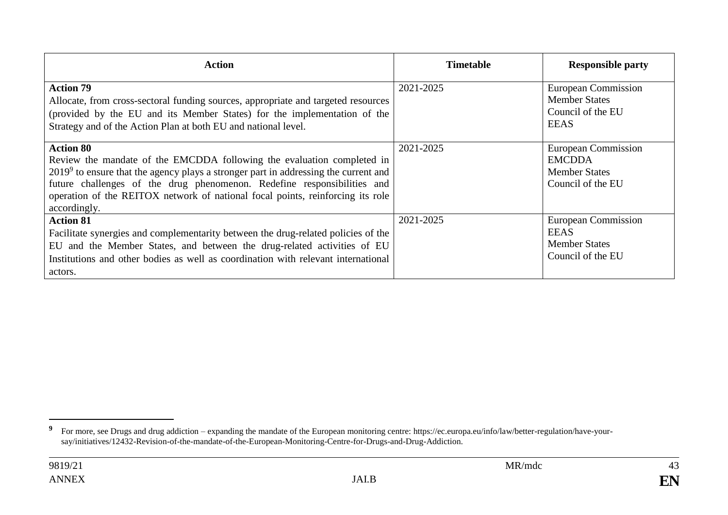| <b>Action</b>                                                                                                                                                                                                                                                                                                                                                    | <b>Timetable</b> | <b>Responsible party</b>                                                                 |
|------------------------------------------------------------------------------------------------------------------------------------------------------------------------------------------------------------------------------------------------------------------------------------------------------------------------------------------------------------------|------------------|------------------------------------------------------------------------------------------|
| <b>Action 79</b><br>Allocate, from cross-sectoral funding sources, appropriate and targeted resources<br>(provided by the EU and its Member States) for the implementation of the<br>Strategy and of the Action Plan at both EU and national level.                                                                                                              | 2021-2025        | <b>European Commission</b><br><b>Member States</b><br>Council of the EU<br><b>EEAS</b>   |
| <b>Action 80</b><br>Review the mandate of the EMCDDA following the evaluation completed in<br>$20199$ to ensure that the agency plays a stronger part in addressing the current and<br>future challenges of the drug phenomenon. Redefine responsibilities and<br>operation of the REITOX network of national focal points, reinforcing its role<br>accordingly. | 2021-2025        | <b>European Commission</b><br><b>EMCDDA</b><br><b>Member States</b><br>Council of the EU |
| <b>Action 81</b><br>Facilitate synergies and complementarity between the drug-related policies of the<br>EU and the Member States, and between the drug-related activities of EU<br>Institutions and other bodies as well as coordination with relevant international<br>actors.                                                                                 | 2021-2025        | <b>European Commission</b><br><b>EEAS</b><br><b>Member States</b><br>Council of the EU   |

<sup>&</sup>lt;sup>9</sup> For more, see Drugs and drug addiction – expanding the mandate of the European monitoring centre: https://ec.europa.eu/info/law/better-regulation/have-yoursay/initiatives/12432-Revision-of-the-mandate-of-the-European-Monitoring-Centre-for-Drugs-and-Drug-Addiction.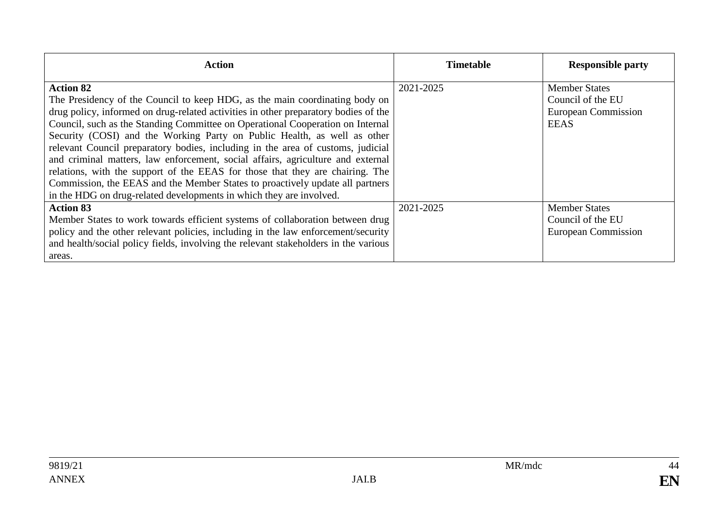| <b>Action</b>                                                                                                                                                                                                                                                                                                                                                                                                                                                                                                                                                                                                                                                                                                                                                       | <b>Timetable</b> | <b>Responsible party</b>                                                               |
|---------------------------------------------------------------------------------------------------------------------------------------------------------------------------------------------------------------------------------------------------------------------------------------------------------------------------------------------------------------------------------------------------------------------------------------------------------------------------------------------------------------------------------------------------------------------------------------------------------------------------------------------------------------------------------------------------------------------------------------------------------------------|------------------|----------------------------------------------------------------------------------------|
| <b>Action 82</b><br>The Presidency of the Council to keep HDG, as the main coordinating body on<br>drug policy, informed on drug-related activities in other preparatory bodies of the<br>Council, such as the Standing Committee on Operational Cooperation on Internal<br>Security (COSI) and the Working Party on Public Health, as well as other<br>relevant Council preparatory bodies, including in the area of customs, judicial<br>and criminal matters, law enforcement, social affairs, agriculture and external<br>relations, with the support of the EEAS for those that they are chairing. The<br>Commission, the EEAS and the Member States to proactively update all partners<br>in the HDG on drug-related developments in which they are involved. | 2021-2025        | <b>Member States</b><br>Council of the EU<br><b>European Commission</b><br><b>EEAS</b> |
| <b>Action 83</b><br>Member States to work towards efficient systems of collaboration between drug<br>policy and the other relevant policies, including in the law enforcement/security<br>and health/social policy fields, involving the relevant stakeholders in the various<br>areas.                                                                                                                                                                                                                                                                                                                                                                                                                                                                             | 2021-2025        | <b>Member States</b><br>Council of the EU<br><b>European Commission</b>                |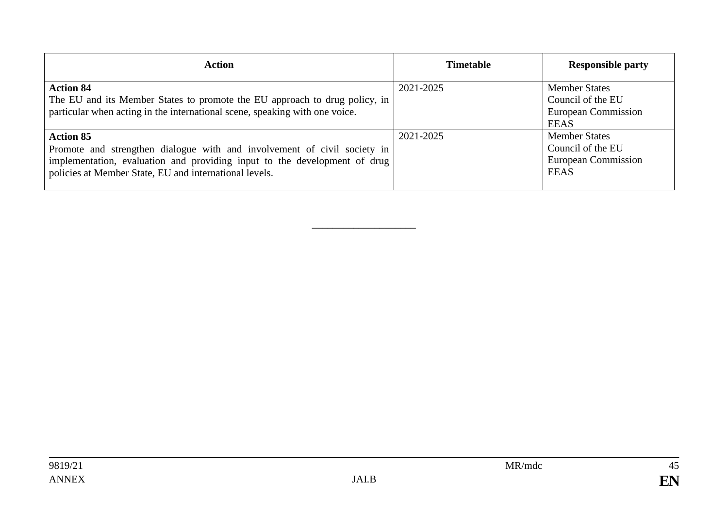| <b>Action</b>                                                                                                                                                                                                                       | <b>Timetable</b> | <b>Responsible party</b>                                                               |
|-------------------------------------------------------------------------------------------------------------------------------------------------------------------------------------------------------------------------------------|------------------|----------------------------------------------------------------------------------------|
| <b>Action 84</b><br>The EU and its Member States to promote the EU approach to drug policy, in<br>particular when acting in the international scene, speaking with one voice.                                                       | 2021-2025        | <b>Member States</b><br>Council of the EU<br><b>European Commission</b><br><b>EEAS</b> |
| <b>Action 85</b><br>Promote and strengthen dialogue with and involvement of civil society in<br>implementation, evaluation and providing input to the development of drug<br>policies at Member State, EU and international levels. | 2021-2025        | <b>Member States</b><br>Council of the EU<br><b>European Commission</b><br><b>EEAS</b> |

\_\_\_\_\_\_\_\_\_\_\_\_\_\_\_\_\_\_\_\_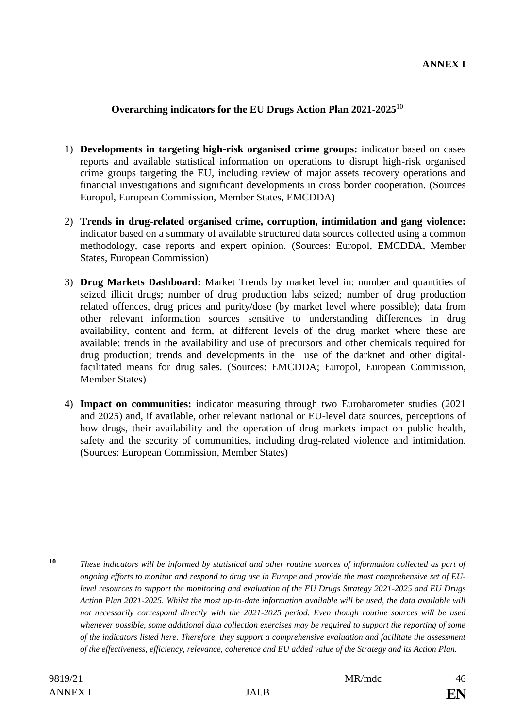#### **Overarching indicators for the EU Drugs Action Plan 2021-2025**<sup>10</sup>

- 1) **Developments in targeting high-risk organised crime groups:** indicator based on cases reports and available statistical information on operations to disrupt high-risk organised crime groups targeting the EU, including review of major assets recovery operations and financial investigations and significant developments in cross border cooperation. (Sources Europol, European Commission, Member States, EMCDDA)
- 2) **Trends in drug-related organised crime, corruption, intimidation and gang violence:** indicator based on a summary of available structured data sources collected using a common methodology, case reports and expert opinion. (Sources: Europol, EMCDDA, Member States, European Commission)
- 3) **Drug Markets Dashboard:** Market Trends by market level in: number and quantities of seized illicit drugs; number of drug production labs seized; number of drug production related offences, drug prices and purity/dose (by market level where possible); data from other relevant information sources sensitive to understanding differences in drug availability, content and form, at different levels of the drug market where these are available; trends in the availability and use of precursors and other chemicals required for drug production; trends and developments in the use of the darknet and other digitalfacilitated means for drug sales. (Sources: EMCDDA; Europol, European Commission, Member States)
- 4) **Impact on communities:** indicator measuring through two Eurobarometer studies (2021 and 2025) and, if available, other relevant national or EU-level data sources, perceptions of how drugs, their availability and the operation of drug markets impact on public health, safety and the security of communities, including drug-related violence and intimidation. (Sources: European Commission, Member States)

1

**<sup>10</sup>** *These indicators will be informed by statistical and other routine sources of information collected as part of ongoing efforts to monitor and respond to drug use in Europe and provide the most comprehensive set of EUlevel resources to support the monitoring and evaluation of the EU Drugs Strategy 2021-2025 and EU Drugs Action Plan 2021-2025. Whilst the most up-to-date information available will be used, the data available will not necessarily correspond directly with the 2021-2025 period. Even though routine sources will be used whenever possible, some additional data collection exercises may be required to support the reporting of some of the indicators listed here. Therefore, they support a comprehensive evaluation and facilitate the assessment of the effectiveness, efficiency, relevance, coherence and EU added value of the Strategy and its Action Plan.*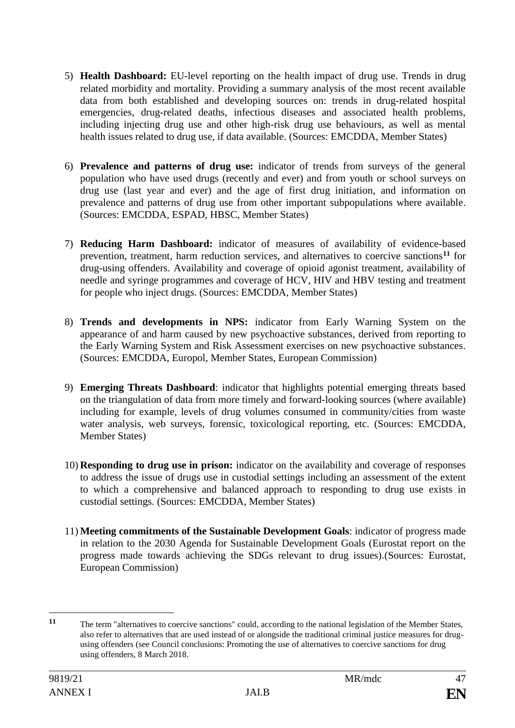- 5) **Health Dashboard:** EU-level reporting on the health impact of drug use. Trends in drug related morbidity and mortality. Providing a summary analysis of the most recent available data from both established and developing sources on: trends in drug-related hospital emergencies, drug-related deaths, infectious diseases and associated health problems, including injecting drug use and other high-risk drug use behaviours, as well as mental health issues related to drug use, if data available. (Sources: EMCDDA, Member States)
- 6) **Prevalence and patterns of drug use:** indicator of trends from surveys of the general population who have used drugs (recently and ever) and from youth or school surveys on drug use (last year and ever) and the age of first drug initiation, and information on prevalence and patterns of drug use from other important subpopulations where available. (Sources: EMCDDA, ESPAD, HBSC, Member States)
- 7) **Reducing Harm Dashboard:** indicator of measures of availability of evidence-based prevention, treatment, harm reduction services, and alternatives to coercive sanctions**<sup>11</sup>** for drug-using offenders. Availability and coverage of opioid agonist treatment, availability of needle and syringe programmes and coverage of HCV, HIV and HBV testing and treatment for people who inject drugs. (Sources: EMCDDA, Member States)
- 8) **Trends and developments in NPS:** indicator from Early Warning System on the appearance of and harm caused by new psychoactive substances, derived from reporting to the Early Warning System and Risk Assessment exercises on new psychoactive substances. (Sources: EMCDDA, Europol, Member States, European Commission)
- 9) **Emerging Threats Dashboard**: indicator that highlights potential emerging threats based on the triangulation of data from more timely and forward-looking sources (where available) including for example, levels of drug volumes consumed in community/cities from waste water analysis, web surveys, forensic, toxicological reporting, etc. (Sources: EMCDDA, Member States)
- 10) **Responding to drug use in prison:** indicator on the availability and coverage of responses to address the issue of drugs use in custodial settings including an assessment of the extent to which a comprehensive and balanced approach to responding to drug use exists in custodial settings. (Sources: EMCDDA, Member States)
- 11) **Meeting commitments of the Sustainable Development Goals**: indicator of progress made in relation to the 2030 Agenda for Sustainable Development Goals (Eurostat report on the progress made towards achieving the SDGs relevant to drug issues).(Sources: Eurostat, European Commission)

1

**<sup>11</sup>** The term "alternatives to coercive sanctions" could, according to the national legislation of the Member States, also refer to alternatives that are used instead of or alongside the traditional criminal justice measures for drugusing offenders (see Council conclusions: Promoting the use of alternatives to coercive sanctions for drug using offenders, 8 March 2018.